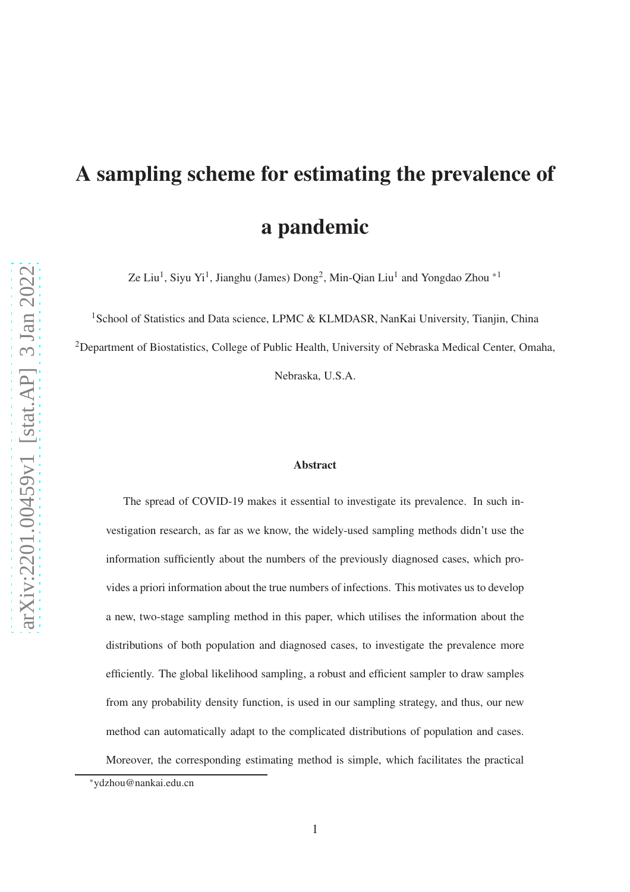# A sampling scheme for estimating the prevalence of a pandemic

Ze Liu<sup>1</sup>, Siyu Yi<sup>1</sup>, Jianghu (James)  $\text{Dong}^2$ , Min-Qian Liu<sup>1</sup> and Yongdao Zhou<sup>\*1</sup>

<sup>1</sup>School of Statistics and Data science, LPMC & KLMDASR, NanKai University, Tianjin, China

<sup>2</sup>Department of Biostatistics, College of Public Health, University of Nebraska Medical Center, Omaha,

Nebraska, U.S.A.

#### Abstract

The spread of COVID-19 makes it essential to investigate its prevalence. In such investigation research, as far as we know, the widely-used sampling methods didn't use the information sufficiently about the numbers of the previously diagnosed cases, which provides a priori information about the true numbers of infections. This motivates us to develop a new, two-stage sampling method in this paper, which utilises the information about the distributions of both population and diagnosed cases, to investigate the prevalence more efficiently. The global likelihood sampling, a robust and efficient sampler to draw samples from any probability density function, is used in our sampling strategy, and thus, our new method can automatically adapt to the complicated distributions of population and cases. Moreover, the corresponding estimating method is simple, which facilitates the practical

<sup>\*</sup>ydzhou@nankai.edu.cn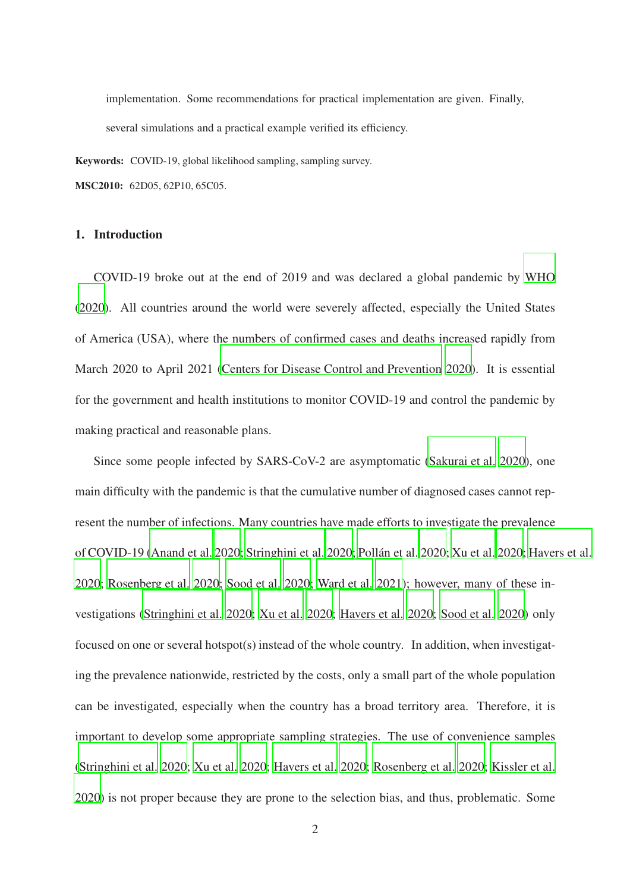implementation. Some recommendations for practical implementation are given. Finally, several simulations and a practical example verified its efficiency.

Keywords: COVID-19, global likelihood sampling, sampling survey.

MSC2010: 62D05, 62P10, 65C05.

#### 1. Introduction

COVID-19 broke out at the end of 2019 and was declared a global pandemic by [WHO](#page-28-0) [\(2020\)](#page-28-0). All countries around the world were severely affected, especially the United States of America (USA), where the numbers of confirmed cases and deaths increased rapidly from March 2020 to April 2021 [\(Centers for Disease Control and Prevention 2020](#page-24-0)). It is essential for the government and health institutions to monitor COVID-19 and control the pandemic by making practical and reasonable plans.

Since some people infected by SARS-CoV-2 are asymptomatic [\(Sakurai et al. 2020\)](#page-26-0), one main difficulty with the pandemic is that the cumulative number of diagnosed cases cannot represent the number of infections. Many countries have made efforts to investigate the prevalence of COVID-19 [\(Anand et al. 2020;](#page-24-1) [Stringhini et al. 2020;](#page-27-0) [Pollán et al. 2020](#page-26-1); [Xu et al. 2020;](#page-28-1) [Havers et al.](#page-24-2) [2020;](#page-24-2) [Rosenberg et al. 2020](#page-26-2); [Sood et al. 2020;](#page-27-1) [Ward et al. 2021\)](#page-27-2); however, many of these investigations [\(Stringhini et al. 2020;](#page-27-0) [Xu et al. 2020;](#page-28-1) [Havers](#page-24-2) et al. [2020;](#page-24-2) [Sood et al. 2020](#page-27-1)) only focused on one or several hotspot(s) instead of the whole country. In addition, when investigating the prevalence nationwide, restricted by the costs, only a small part of the whole population can be investigated, especially when the country has a broad territory area. Therefore, it is important to develop some appropriate sampling strategies. The use of convenience samples [\(Stringhini et al. 2020;](#page-27-0) [Xu et al. 2020;](#page-28-1) [Havers et al. 2020;](#page-24-2) [Rosenberg et al. 2020](#page-26-2); [Kissler et al.](#page-25-0) [2020\)](#page-25-0) is not proper because they are prone to the selection bias, and thus, problematic. Some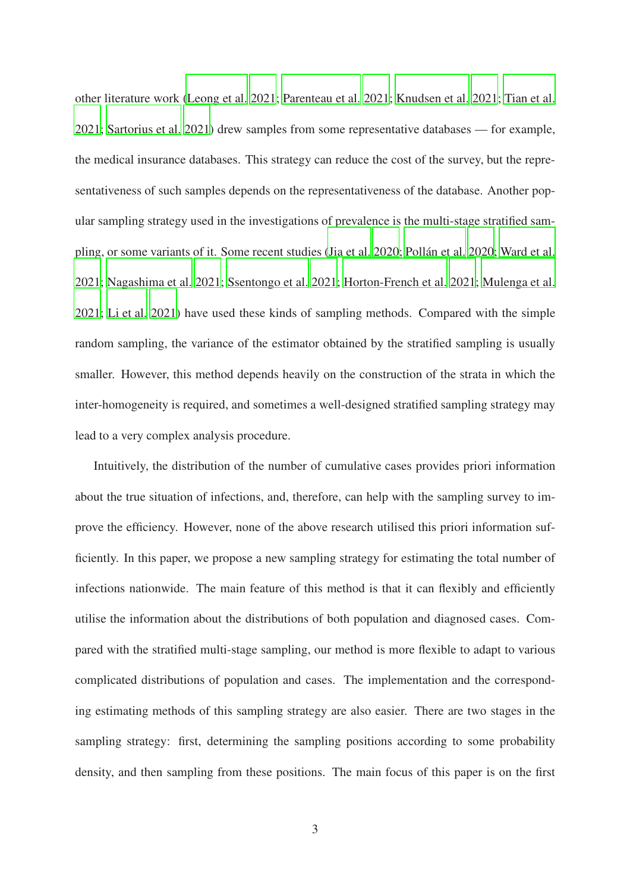other literature work [\(Leong et al. 2021;](#page-25-1) [Parenteau et al. 2021;](#page-26-3) [Knudsen et al. 2021](#page-25-2); [Tian et al.](#page-27-3) [2021;](#page-27-3) [Sartorius et al. 2021](#page-27-4)) drew samples from some representative databases — for example, the medical insurance databases. This strategy can reduce the cost of the survey, but the representativeness of such samples depends on the representativeness of the database. Another popular sampling strategy used in the investigations of prevalence is the multi-stage stratified sampling, or some variants of it. Some recent studies [\(Jia et al.](#page-25-3) [2020;](#page-25-3) [Pollán et al. 2020;](#page-26-1) [Ward et al.](#page-27-2) [2021;](#page-27-2) [Nagashima et al. 2021;](#page-26-4) [Ssentongo et al. 2021](#page-27-5); [Horton-French et al. 2021](#page-24-3); [Mulenga et al.](#page-25-4) [2021;](#page-25-4) [Li et al. 2021\)](#page-25-5) have used these kinds of sampling methods. Compared with the simple random sampling, the variance of the estimator obtained by the stratified sampling is usually smaller. However, this method depends heavily on the construction of the strata in which the inter-homogeneity is required, and sometimes a well-designed stratified sampling strategy may lead to a very complex analysis procedure.

Intuitively, the distribution of the number of cumulative cases provides priori information about the true situation of infections, and, therefore, can help with the sampling survey to improve the efficiency. However, none of the above research utilised this priori information sufficiently. In this paper, we propose a new sampling strategy for estimating the total number of infections nationwide. The main feature of this method is that it can flexibly and efficiently utilise the information about the distributions of both population and diagnosed cases. Compared with the stratified multi-stage sampling, our method is more flexible to adapt to various complicated distributions of population and cases. The implementation and the corresponding estimating methods of this sampling strategy are also easier. There are two stages in the sampling strategy: first, determining the sampling positions according to some probability density, and then sampling from these positions. The main focus of this paper is on the first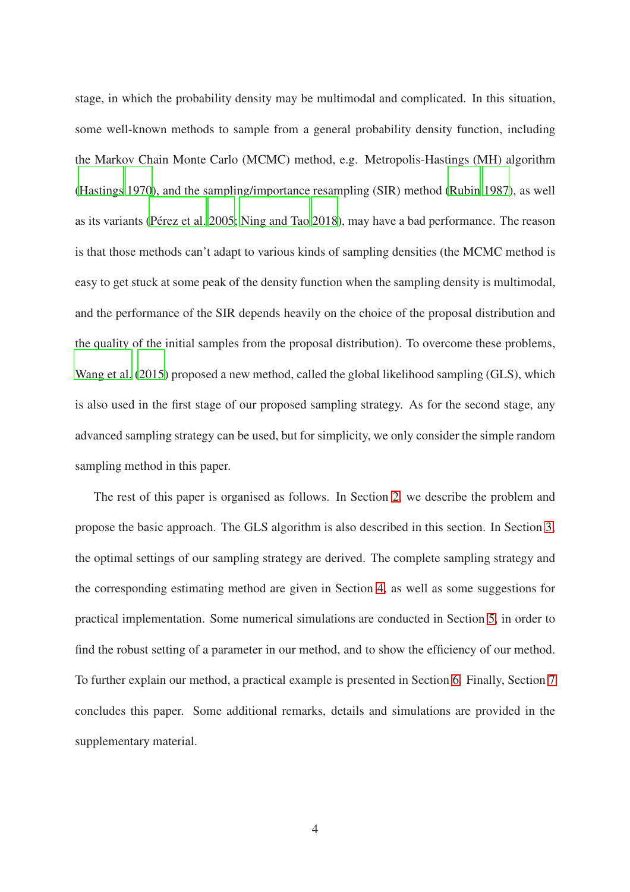stage, in which the probability density may be multimodal and complicated. In this situation, some well-known methods to sample from a general probability density function, including the Markov Chain Monte Carlo (MCMC) method, e.g. Metropolis-Hastings (MH) algorithm [\(Hastings 1970\)](#page-24-4), and the sampling/importance resampling (SIR) method [\(Rubin 1987\)](#page-26-5), as well as its variants [\(Pérez et al. 2005](#page-26-6); [Ning and Tao 2018\)](#page-26-7), may have a bad performance. The reason is that those methods can't adapt to various kinds of sampling densities (the MCMC method is easy to get stuck at some peak of the density function when the sampling density is multimodal, and the performance of the SIR depends heavily on the choice of the proposal distribution and the quality of the initial samples from the proposal distribution). To overcome these problems, [Wang et al. \(2015](#page-27-6)) proposed a new method, called the global likelihood sampling (GLS), which is also used in the first stage of our proposed sampling strategy. As for the second stage, any advanced sampling strategy can be used, but for simplicity, we only consider the simple random sampling method in this paper.

The rest of this paper is organised as follows. In Section [2,](#page-4-0) we describe the problem and propose the basic approach. The GLS algorithm is also described in this section. In Section [3,](#page-7-0) the optimal settings of our sampling strategy are derived. The complete sampling strategy and the corresponding estimating method are given in Section [4,](#page-10-0) as well as some suggestions for practical implementation. Some numerical simulations are conducted in Section [5,](#page-14-0) in order to find the robust setting of a parameter in our method, and to show the efficiency of our method. To further explain our method, a practical example is presented in Section [6.](#page-19-0) Finally, Section [7](#page-22-0) concludes this paper. Some additional remarks, details and simulations are provided in the supplementary material.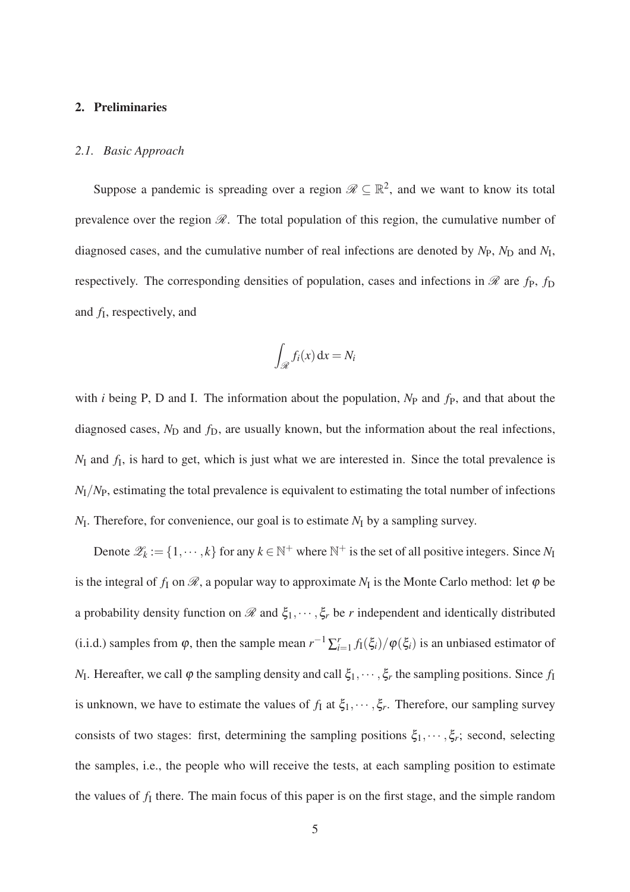## <span id="page-4-1"></span><span id="page-4-0"></span>2. Preliminaries

#### *2.1. Basic Approach*

Suppose a pandemic is spreading over a region  $\mathcal{R} \subseteq \mathbb{R}^2$ , and we want to know its total prevalence over the region  $\mathcal{R}$ . The total population of this region, the cumulative number of diagnosed cases, and the cumulative number of real infections are denoted by  $N_{\rm P}$ ,  $N_{\rm D}$  and  $N_{\rm I}$ , respectively. The corresponding densities of population, cases and infections in  $\mathcal{R}$  are  $f_P$ ,  $f_D$ and *f*<sup>I</sup> , respectively, and

$$
\int_{\mathscr{R}} f_i(x) \, \mathrm{d}x = N_i
$$

with *i* being P, D and I. The information about the population,  $N_P$  and  $f_P$ , and that about the diagnosed cases,  $N_D$  and  $f_D$ , are usually known, but the information about the real infections, *N*<sup>I</sup> and *f*<sup>I</sup> , is hard to get, which is just what we are interested in. Since the total prevalence is *N*I/*N*P, estimating the total prevalence is equivalent to estimating the total number of infections *N*<sub>I</sub>. Therefore, for convenience, our goal is to estimate *N*<sub>I</sub> by a sampling survey.

Denote  $\mathscr{Z}_k := \{1, \dots, k\}$  for any  $k \in \mathbb{N}^+$  where  $\mathbb{N}^+$  is the set of all positive integers. Since  $N_I$ is the integral of  $f_1$  on  $\mathscr R$ , a popular way to approximate  $N_I$  is the Monte Carlo method: let  $\varphi$  be a probability density function on  $\mathscr R$  and  $\xi_1,\cdots,\xi_r$  be *r* independent and identically distributed (i.i.d.) samples from  $\varphi$ , then the sample mean  $r^{-1} \sum_{i=1}^r f_1(\xi_i) / \varphi(\xi_i)$  is an unbiased estimator of *N*<sub>I</sub>. Hereafter, we call  $\varphi$  the sampling density and call  $\xi_1, \dots, \xi_r$  the sampling positions. Since  $f_I$ is unknown, we have to estimate the values of  $f_1$  at  $\xi_1, \dots, \xi_r$ . Therefore, our sampling survey consists of two stages: first, determining the sampling positions  $\xi_1, \dots, \xi_r$ ; second, selecting the samples, i.e., the people who will receive the tests, at each sampling position to estimate the values of  $f_I$  there. The main focus of this paper is on the first stage, and the simple random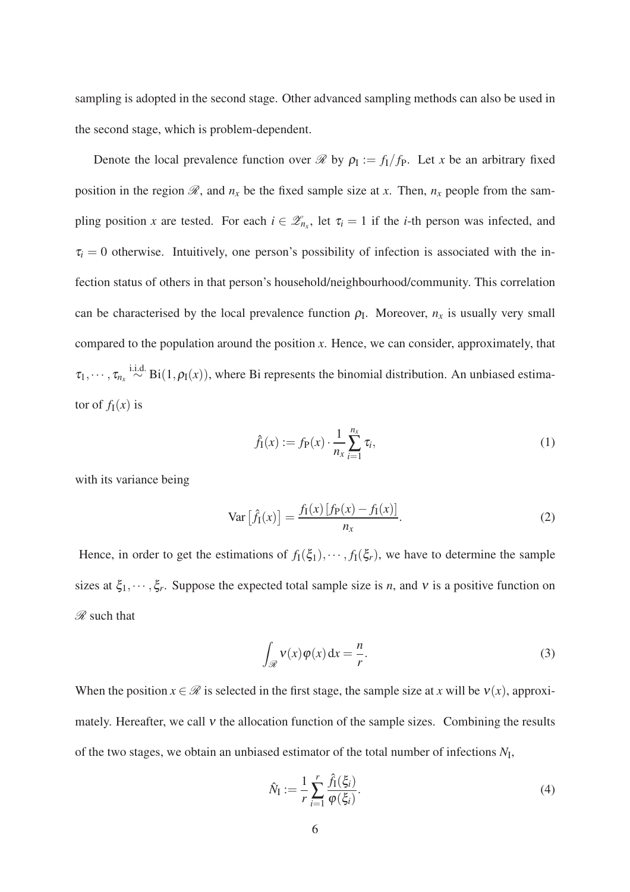sampling is adopted in the second stage. Other advanced sampling methods can also be used in the second stage, which is problem-dependent.

Denote the local prevalence function over  $\mathcal{R}$  by  $\rho_I := f_I/f_P$ . Let *x* be an arbitrary fixed position in the region  $\mathcal{R}$ , and  $n_x$  be the fixed sample size at *x*. Then,  $n_x$  people from the sampling position *x* are tested. For each  $i \in \mathcal{Z}_{n_x}$ , let  $\tau_i = 1$  if the *i*-th person was infected, and  $\tau_i = 0$  otherwise. Intuitively, one person's possibility of infection is associated with the infection status of others in that person's household/neighbourhood/community. This correlation can be characterised by the local prevalence function  $\rho_I$ . Moreover,  $n_x$  is usually very small compared to the population around the position *x*. Hence, we can consider, approximately, that  $\tau_1,\cdots,\tau_{n_x} \stackrel{\text{i.i.d.}}{\sim} \text{Bi}(1,\rho_I(x))$ , where Bi represents the binomial distribution. An unbiased estimator of  $f_I(x)$  is

<span id="page-5-2"></span><span id="page-5-1"></span>
$$
\hat{f}_I(x) := f_P(x) \cdot \frac{1}{n_x} \sum_{i=1}^{n_x} \tau_i,
$$
\n(1)

with its variance being

$$
\text{Var}\left[\hat{f}_1(x)\right] = \frac{f_1(x)\left[f_P(x) - f_1(x)\right]}{n_x}.\tag{2}
$$

Hence, in order to get the estimations of  $f_1(\xi_1), \dots, f_l(\xi_r)$ , we have to determine the sample sizes at  $\xi_1, \dots, \xi_r$ . Suppose the expected total sample size is *n*, and *v* is a positive function on  $\mathscr R$  such that

<span id="page-5-0"></span>
$$
\int_{\mathcal{R}} v(x)\varphi(x) dx = \frac{n}{r}.
$$
 (3)

When the position  $x \in \mathcal{R}$  is selected in the first stage, the sample size at *x* will be  $v(x)$ , approximately. Hereafter, we call  $v$  the allocation function of the sample sizes. Combining the results of the two stages, we obtain an unbiased estimator of the total number of infections  $N_I$ ,

<span id="page-5-3"></span>
$$
\hat{N}_{\mathcal{I}} := \frac{1}{r} \sum_{i=1}^{r} \frac{\hat{f}_{\mathcal{I}}(\xi_i)}{\varphi(\xi_i)}.
$$
\n(4)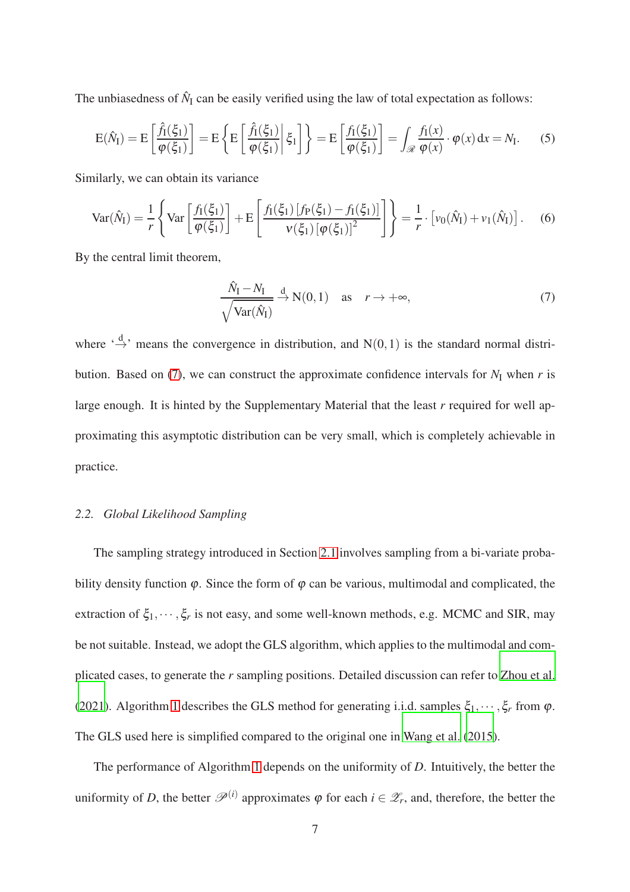The unbiasedness of  $\hat{N}_I$  can be easily verified using the law of total expectation as follows:

$$
E(\hat{N}_I) = E\left[\frac{\hat{f}_I(\xi_1)}{\varphi(\xi_1)}\right] = E\left\{E\left[\frac{\hat{f}_I(\xi_1)}{\varphi(\xi_1)}\bigg|\xi_1\right]\right\} = E\left[\frac{f_I(\xi_1)}{\varphi(\xi_1)}\right] = \int_{\mathcal{R}} \frac{f_I(x)}{\varphi(x)} \cdot \varphi(x) dx = N_I.
$$
 (5)

Similarly, we can obtain its variance

$$
\text{Var}(\hat{N}_I) = \frac{1}{r} \left\{ \text{Var} \left[ \frac{f_I(\xi_1)}{\varphi(\xi_1)} \right] + \mathcal{E} \left[ \frac{f_I(\xi_1) \left[ f_P(\xi_1) - f_I(\xi_1) \right]}{\nu(\xi_1) \left[ \varphi(\xi_1) \right]^2} \right] \right\} = \frac{1}{r} \cdot \left[ v_0(\hat{N}_I) + v_1(\hat{N}_I) \right]. \tag{6}
$$

By the central limit theorem,

<span id="page-6-2"></span><span id="page-6-1"></span><span id="page-6-0"></span>
$$
\frac{\hat{N}_{\rm I} - N_{\rm I}}{\sqrt{\text{Var}(\hat{N}_{\rm I})}} \xrightarrow{d} N(0, 1) \quad \text{as} \quad r \to +\infty,
$$
\n(7)

where  $\stackrel{\text{d}}{\rightarrow}$  means the convergence in distribution, and N(0,1) is the standard normal distri-bution. Based on [\(7\)](#page-6-0), we can construct the approximate confidence intervals for  $N_I$  when  $r$  is large enough. It is hinted by the Supplementary Material that the least *r* required for well approximating this asymptotic distribution can be very small, which is completely achievable in practice.

## <span id="page-6-3"></span>*2.2. Global Likelihood Sampling*

The sampling strategy introduced in Section [2.1](#page-4-1) involves sampling from a bi-variate probability density function  $\varphi$ . Since the form of  $\varphi$  can be various, multimodal and complicated, the extraction of  $\xi_1, \dots, \xi_r$  is not easy, and some well-known methods, e.g. MCMC and SIR, may be not suitable. Instead, we adopt the GLS algorithm, which applies to the multimodal and complicated cases, to generate the *r* sampling positions. Detailed discussion can refer to [Zhou et al.](#page-28-2) [\(2021\)](#page-28-2). Algorithm [1](#page-7-1) describes the GLS method for generating i.i.d. samples  $\xi_1, \dots, \xi_r$  from  $\varphi$ . The GLS used here is simplified compared to the original one in [Wang et al.](#page-27-6) [\(2015\)](#page-27-6).

The performance of Algorithm [1](#page-7-1) depends on the uniformity of *D*. Intuitively, the better the uniformity of *D*, the better  $\mathscr{P}^{(i)}$  approximates  $\varphi$  for each  $i \in \mathscr{Z}_r$ , and, therefore, the better the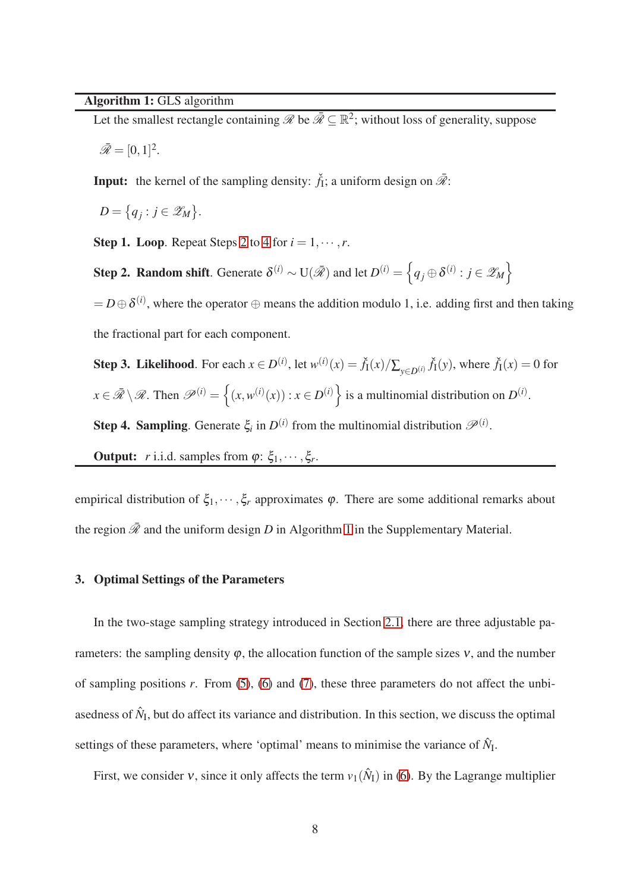# <span id="page-7-1"></span>Algorithm 1: GLS algorithm

Let the smallest rectangle containing  $\mathscr{R}$  be  $\bar{\mathscr{R}} \subseteq \mathbb{R}^2$ ; without loss of generality, suppose

$$
\bar{\mathscr{R}}=[0,1]^2.
$$

**Input:** the kernel of the sampling density:  $\check{f}_1$ ; a uniform design on  $\bar{\mathcal{R}}$ :

 $D = \{q_j : j \in \mathscr{Z}_M\}.$ 

<span id="page-7-2"></span>**Step 1. Loop.** Repeat Steps [2](#page-7-2) to [4](#page-7-3) for  $i = 1, \dots, r$ .

Step 2. Random shift. Generate  $\delta^{(i)} \sim U(\bar{\mathscr{R}})$  and let  $D^{(i)} = \left\{ q_j \oplus \delta^{(i)} : j \in \mathscr{Z}_M \right\}$ 

 $= D \oplus \delta^{(i)}$ , where the operator  $\oplus$  means the addition modulo 1, i.e. adding first and then taking the fractional part for each component.

<span id="page-7-3"></span>Step 3. Likelihood. For each  $x \in D^{(i)}$ , let  $w^{(i)}(x) = \check{f}_1(x)/\sum_{y \in D^{(i)}} \check{f}_1(y)$ , where  $\check{f}_1(x) = 0$  for  $x \in \bar{\mathcal{R}} \setminus \mathcal{R}$ . Then  $\mathcal{P}^{(i)} = \left\{ (x, w^{(i)}(x)) : x \in D^{(i)} \right\}$  is a multinomial distribution on  $D^{(i)}$ . Step 4. Sampling. Generate  $\xi_i$  in  $D^{(i)}$  from the multinomial distribution  $\mathscr{P}^{(i)}$ .

**Output:** *r* i.i.d. samples from  $\varphi$ :  $\xi_1, \dots, \xi_r$ .

<span id="page-7-0"></span>empirical distribution of  $\xi_1, \dots, \xi_r$  approximates  $\varphi$ . There are some additional remarks about the region  $\bar{\mathcal{R}}$  and the uniform design *D* in Algorithm [1](#page-7-1) in the Supplementary Material.

# 3. Optimal Settings of the Parameters

In the two-stage sampling strategy introduced in Section [2.1,](#page-4-1) there are three adjustable parameters: the sampling density  $\varphi$ , the allocation function of the sample sizes  $v$ , and the number of sampling positions *r*. From [\(5\)](#page-6-1), [\(6\)](#page-6-2) and [\(7\)](#page-6-0), these three parameters do not affect the unbiasedness of  $\hat{N}_{I}$ , but do affect its variance and distribution. In this section, we discuss the optimal settings of these parameters, where 'optimal' means to minimise the variance of  $\hat{N}_1$ .

First, we consider v, since it only affects the term  $v_1(\hat{N}_I)$  in [\(6\)](#page-6-2). By the Lagrange multiplier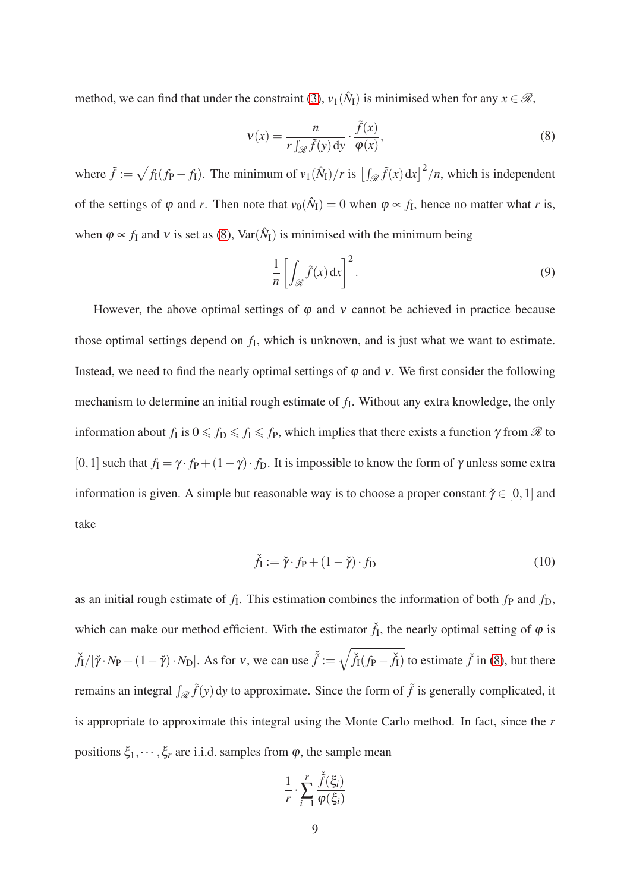method, we can find that under the constraint [\(3\)](#page-5-0),  $v_1(\hat{N}_I)$  is minimised when for any  $x \in \mathcal{R}$ ,

<span id="page-8-0"></span>
$$
v(x) = \frac{n}{r \int_{\mathcal{R}} \tilde{f}(y) dy} \cdot \frac{\tilde{f}(x)}{\varphi(x)},
$$
\n(8)

where  $\tilde{f} := \sqrt{f_1(f_P - f_1)}$ . The minimum of  $v_1(\hat{N}_1)/r$  is  $\left[\int_{\mathcal{R}} \tilde{f}(x) dx\right]^2/n$ , which is independent of the settings of  $\varphi$  and *r*. Then note that  $v_0(\hat{N}_I) = 0$  when  $\varphi \propto f_I$ , hence no matter what *r* is, when  $\varphi \propto f_1$  and v is set as [\(8\)](#page-8-0), Var( $\hat{N}_I$ ) is minimised with the minimum being

<span id="page-8-2"></span>
$$
\frac{1}{n} \left[ \int_{\mathcal{R}} \tilde{f}(x) dx \right]^2.
$$
 (9)

However, the above optimal settings of  $\varphi$  and  $\nu$  cannot be achieved in practice because those optimal settings depend on *f*<sup>I</sup> , which is unknown, and is just what we want to estimate. Instead, we need to find the nearly optimal settings of  $\varphi$  and  $\nu$ . We first consider the following mechanism to determine an initial rough estimate of  $f_I$ . Without any extra knowledge, the only information about  $f_I$  is  $0 \leqslant f_D \leqslant f_I \leqslant f_P$ , which implies that there exists a function  $\gamma$  from  $\mathscr R$  to [0,1] such that  $f_1 = \gamma \cdot f_P + (1 - \gamma) \cdot f_D$ . It is impossible to know the form of  $\gamma$  unless some extra information is given. A simple but reasonable way is to choose a proper constant  $\check{\gamma} \in [0,1]$  and take

<span id="page-8-1"></span>
$$
\check{f}_I := \check{\gamma} \cdot f_P + (1 - \check{\gamma}) \cdot f_D \tag{10}
$$

as an initial rough estimate of  $f_1$ . This estimation combines the information of both  $f_P$  and  $f_D$ , which can make our method efficient. With the estimator  $\check{f}_I$ , the nearly optimal setting of  $\varphi$  is  $\check{f}_1/[\check{\gamma} \cdot N_P + (1 - \check{\gamma}) \cdot N_D]$ . As for v, we can use  $\check{\tilde{f}} := \sqrt{\check{f}_1(f_P - \check{f}_1)}$  to estimate  $\tilde{f}$  in [\(8\)](#page-8-0), but there remains an integral  $\int_{\mathcal{R}} \tilde{f}(y) dy$  to approximate. Since the form of  $\tilde{f}$  is generally complicated, it is appropriate to approximate this integral using the Monte Carlo method. In fact, since the *r* positions  $\xi_1, \dots, \xi_r$  are i.i.d. samples from  $\varphi$ , the sample mean

$$
\frac{1}{r} \cdot \sum_{i=1}^r \frac{\check{\tilde{f}}(\xi_i)}{\varphi(\xi_i)}
$$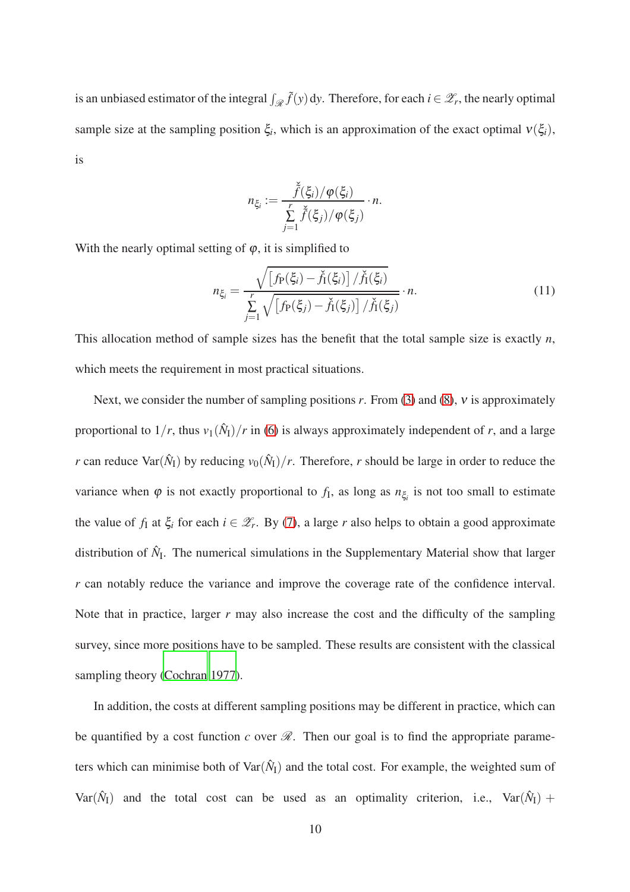is an unbiased estimator of the integral  $\int_{\mathscr{R}} \tilde{f}(y) dy$ . Therefore, for each  $i \in \mathscr{Z}_r$ , the nearly optimal sample size at the sampling position  $\xi_i$ , which is an approximation of the exact optimal  $v(\xi_i)$ , is

<span id="page-9-0"></span>
$$
n_{\xi_i} := \frac{\widetilde{\widetilde{f}}(\xi_i)/\varphi(\xi_i)}{\sum\limits_{j=1}^r \widetilde{\widetilde{f}}(\xi_j)/\varphi(\xi_j)} \cdot n.
$$

With the nearly optimal setting of  $\varphi$ , it is simplified to

$$
n_{\xi_i} = \frac{\sqrt{\left[f_P(\xi_i) - \check{f}_I(\xi_i)\right] / \check{f}_I(\xi_i)}}{\sum\limits_{j=1}^r \sqrt{\left[f_P(\xi_j) - \check{f}_I(\xi_j)\right] / \check{f}_I(\xi_j)}} \cdot n. \tag{11}
$$

This allocation method of sample sizes has the benefit that the total sample size is exactly *n*, which meets the requirement in most practical situations.

Next, we consider the number of sampling positions *r*. From [\(3\)](#page-5-0) and [\(8\)](#page-8-0), <sup>ν</sup> is approximately proportional to  $1/r$ , thus  $v_1(\hat{N}_1)/r$  in [\(6\)](#page-6-2) is always approximately independent of *r*, and a large *r* can reduce Var $(\hat{N}_I)$  by reducing  $v_0(\hat{N}_I)/r$ . Therefore, *r* should be large in order to reduce the variance when  $\varphi$  is not exactly proportional to  $f_I$ , as long as  $n_{\xi_i}$  is not too small to estimate the value of  $f_1$  at  $\xi$ <sup>*i*</sup> for each  $i \in \mathcal{Z}_r$ . By [\(7\)](#page-6-0), a large *r* also helps to obtain a good approximate distribution of  $\hat{N}_{I}$ . The numerical simulations in the Supplementary Material show that larger *r* can notably reduce the variance and improve the coverage rate of the confidence interval. Note that in practice, larger  $r$  may also increase the cost and the difficulty of the sampling survey, since more positions have to be sampled. These results are consistent with the classical sampling theory [\(Cochran 1977\)](#page-24-5).

In addition, the costs at different sampling positions may be different in practice, which can be quantified by a cost function *c* over  $\mathcal{R}$ . Then our goal is to find the appropriate parameters which can minimise both of  $\text{Var}(\hat{N}_I)$  and the total cost. For example, the weighted sum of Var( $\hat{N}_I$ ) and the total cost can be used as an optimality criterion, i.e., Var( $\hat{N}_I$ ) +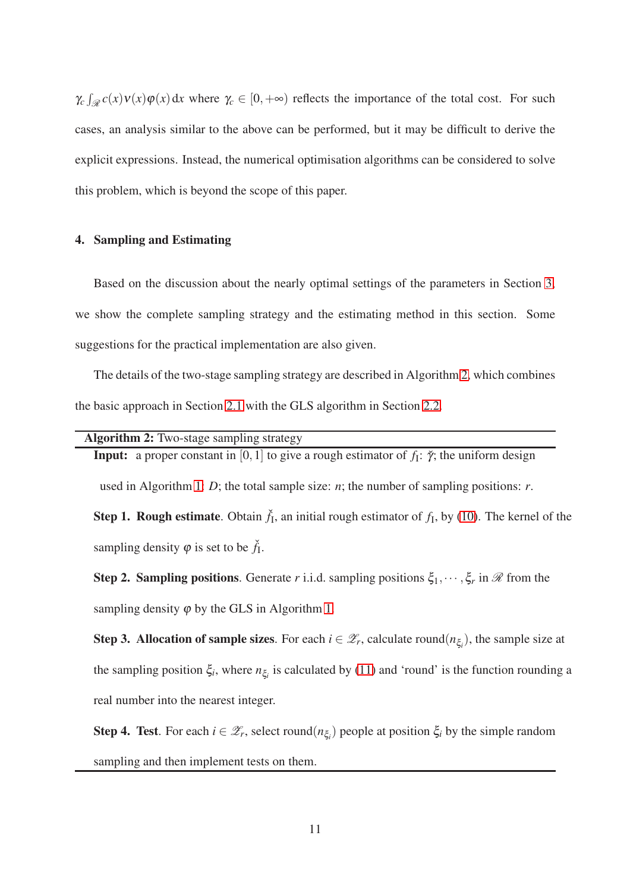$\gamma_c$   $\int_{\mathscr{R}} c(x) v(x) \varphi(x) dx$  where  $\gamma_c \in [0, +\infty)$  reflects the importance of the total cost. For such cases, an analysis similar to the above can be performed, but it may be difficult to derive the explicit expressions. Instead, the numerical optimisation algorithms can be considered to solve this problem, which is beyond the scope of this paper.

# <span id="page-10-0"></span>4. Sampling and Estimating

Based on the discussion about the nearly optimal settings of the parameters in Section [3,](#page-7-0) we show the complete sampling strategy and the estimating method in this section. Some suggestions for the practical implementation are also given.

The details of the two-stage sampling strategy are described in Algorithm [2,](#page-10-1) which combines the basic approach in Section [2.1](#page-4-1) with the GLS algorithm in Section [2.2.](#page-6-3)

<span id="page-10-1"></span>Algorithm 2: Two-stage sampling strategy

**Input:** a proper constant in [0, 1] to give a rough estimator of  $f_1$ :  $\gamma$ ; the uniform design

used in Algorithm [1:](#page-7-1) *D*; the total sample size: *n*; the number of sampling positions: *r*.

<span id="page-10-3"></span>**Step 1. Rough estimate**. Obtain  $\check{f}_1$ , an initial rough estimator of  $f_1$ , by [\(10\)](#page-8-1). The kernel of the sampling density  $\varphi$  is set to be  $\check{f}_1$ .

<span id="page-10-2"></span>**Step 2. Sampling positions**. Generate *r* i.i.d. sampling positions  $\xi_1, \dots, \xi_r$  in  $\mathcal{R}$  from the sampling density  $\varphi$  by the GLS in Algorithm [1.](#page-7-1)

Step 3. Allocation of sample sizes. For each  $i \in \mathcal{Z}_r$ , calculate round $(n_{\xi_i})$ , the sample size at the sampling position  $\xi_i$ , where  $n_{\xi_i}$  is calculated by [\(11\)](#page-9-0) and 'round' is the function rounding a real number into the nearest integer.

Step 4. Test. For each  $i \in \mathcal{Z}_r$ , select round $(n_{\xi_i})$  people at position  $\xi_i$  by the simple random sampling and then implement tests on them.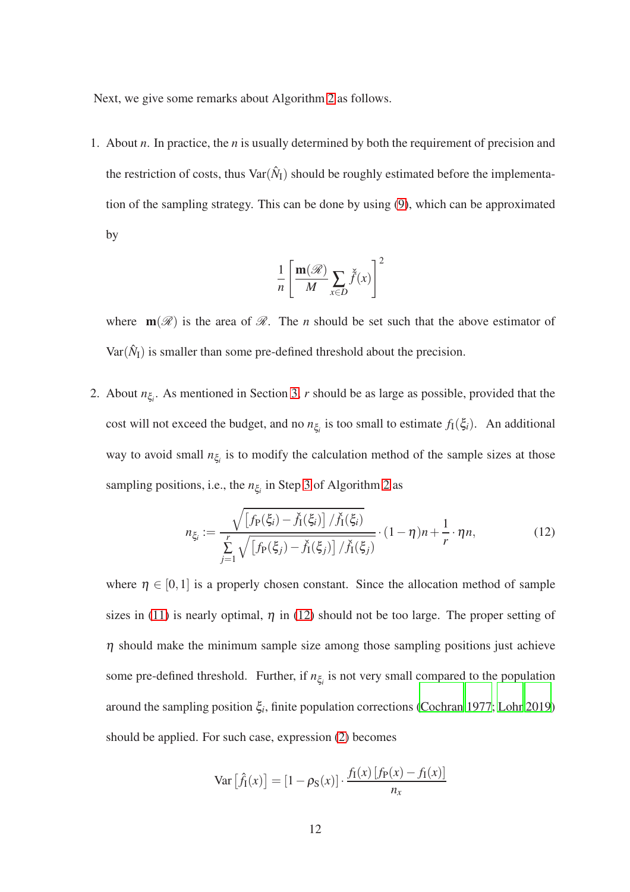Next, we give some remarks about Algorithm [2](#page-10-1) as follows.

1. About *n*. In practice, the *n* is usually determined by both the requirement of precision and the restriction of costs, thus  $\text{Var}(\hat{N}_1)$  should be roughly estimated before the implementation of the sampling strategy. This can be done by using [\(9\)](#page-8-2), which can be approximated by

$$
\frac{1}{n} \left[ \frac{\mathbf{m}(\mathcal{R})}{M} \sum_{x \in D} \check{f}(x) \right]^2
$$

where  $\mathbf{m}(\mathscr{R})$  is the area of  $\mathscr{R}$ . The *n* should be set such that the above estimator of  $Var(\hat{N}_I)$  is smaller than some pre-defined threshold about the precision.

2. About *n*ξ*<sup>i</sup>* . As mentioned in Section [3,](#page-7-0) *r* should be as large as possible, provided that the cost will not exceed the budget, and no  $n_{\xi_i}$  is too small to estimate  $f_1(\xi_i)$ . An additional way to avoid small  $n_{\xi_i}$  is to modify the calculation method of the sample sizes at those sampling positions, i.e., the *n*ξ*<sup>i</sup>* in Step [3](#page-10-2) of Algorithm [2](#page-10-1) as

<span id="page-11-0"></span>
$$
n_{\xi_i} := \frac{\sqrt{\left[f_P(\xi_i) - \check{f}_I(\xi_i)\right] / \check{f}_I(\xi_i)}}{\sum_{j=1}^r \sqrt{\left[f_P(\xi_j) - \check{f}_I(\xi_j)\right] / \check{f}_I(\xi_j)}} \cdot (1 - \eta) n + \frac{1}{r} \cdot \eta n,
$$
(12)

where  $\eta \in [0,1]$  is a properly chosen constant. Since the allocation method of sample sizes in [\(11\)](#page-9-0) is nearly optimal,  $\eta$  in [\(12\)](#page-11-0) should not be too large. The proper setting of  $\eta$  should make the minimum sample size among those sampling positions just achieve some pre-defined threshold. Further, if  $n_{\xi_i}$  is not very small compared to the population around the sampling position ξ*<sup>i</sup>* , finite population corrections [\(Cochran 1977;](#page-24-5) [Lohr 2019\)](#page-25-6) should be applied. For such case, expression [\(2\)](#page-5-1) becomes

$$
\text{Var}\left[\hat{f}_1(x)\right] = \left[1 - \rho_{\text{S}}(x)\right] \cdot \frac{f_1(x)\left[f_{\text{P}}(x) - f_1(x)\right]}{n_x}
$$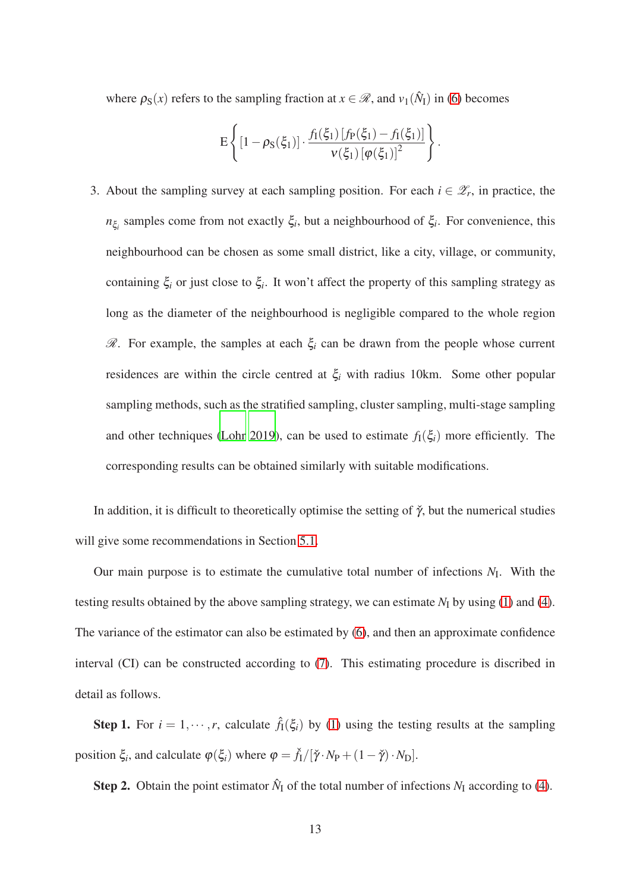where  $\rho_S(x)$  refers to the sampling fraction at  $x \in \mathcal{R}$ , and  $v_1(\hat{N}_I)$  in [\(6\)](#page-6-2) becomes

$$
E\left\{[1-\rho_{S}(\xi_{1})]\cdot\frac{f_{I}(\xi_{1})\,[f_{P}(\xi_{1})-f_{I}(\xi_{1})]}{\nu(\xi_{1})\,[\varphi(\xi_{1})]^{2}}\right\}.
$$

3. About the sampling survey at each sampling position. For each  $i \in \mathcal{Z}_r$ , in practice, the *n*ξ*i* samples come from not exactly ξ*<sup>i</sup>* , but a neighbourhood of ξ*<sup>i</sup>* . For convenience, this neighbourhood can be chosen as some small district, like a city, village, or community, containing ξ*<sup>i</sup>* or just close to ξ*<sup>i</sup>* . It won't affect the property of this sampling strategy as long as the diameter of the neighbourhood is negligible compared to the whole region  $\mathcal{R}$ . For example, the samples at each  $\xi$  can be drawn from the people whose current residences are within the circle centred at  $\xi$ <sup>*i*</sup> with radius 10km. Some other popular sampling methods, such as the stratified sampling, cluster sampling, multi-stage sampling and other techniques [\(Lohr 2019\)](#page-25-6), can be used to estimate  $f_1(\xi_i)$  more efficiently. The corresponding results can be obtained similarly with suitable modifications.

In addition, it is difficult to theoretically optimise the setting of  $\check{\gamma}$ , but the numerical studies will give some recommendations in Section [5.1.](#page-14-1)

Our main purpose is to estimate the cumulative total number of infections *N*<sup>I</sup> . With the testing results obtained by the above sampling strategy, we can estimate  $N_I$  by using [\(1\)](#page-5-2) and [\(4\)](#page-5-3). The variance of the estimator can also be estimated by [\(6\)](#page-6-2), and then an approximate confidence interval (CI) can be constructed according to [\(7\)](#page-6-0). This estimating procedure is discribed in detail as follows.

**Step 1.** For  $i = 1, \dots, r$ , calculate  $\hat{f}_1(\xi_i)$  by [\(1\)](#page-5-2) using the testing results at the sampling position  $\xi_i$ , and calculate  $\varphi(\xi_i)$  where  $\varphi = \check{f}_1/[\check{\gamma} \cdot N_P + (1 - \check{\gamma}) \cdot N_D]$ .

**Step 2.** Obtain the point estimator  $\hat{N}_I$  of the total number of infections  $N_I$  according to [\(4\)](#page-5-3).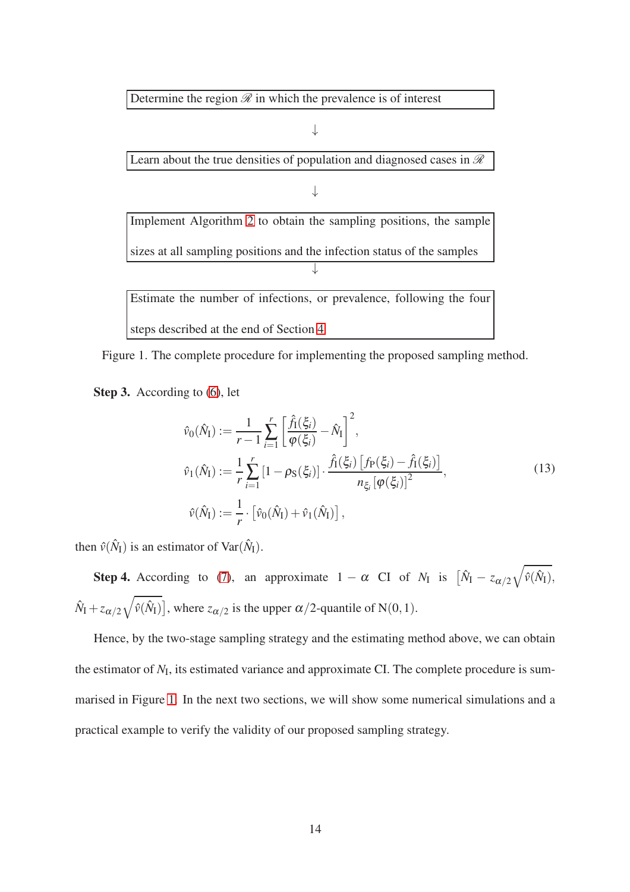Determine the region  $\mathscr R$  in which the prevalence is of interest

↓ Learn about the true densities of population and diagnosed cases in  $\mathcal R$ ↓ Implement Algorithm [2](#page-10-1) to obtain the sampling positions, the sample sizes at all sampling positions and the infection status of the samples ↓ Estimate the number of infections, or prevalence, following the four steps described at the end of Section [4](#page-10-0)

<span id="page-13-0"></span>Figure 1. The complete procedure for implementing the proposed sampling method.

Step 3. According to  $(6)$ , let

$$
\hat{v}_0(\hat{N}_I) := \frac{1}{r-1} \sum_{i=1}^r \left[ \frac{\hat{f}_I(\xi_i)}{\varphi(\xi_i)} - \hat{N}_I \right]^2,
$$
\n
$$
\hat{v}_1(\hat{N}_I) := \frac{1}{r} \sum_{i=1}^r \left[ 1 - \rho_{S}(\xi_i) \right] \cdot \frac{\hat{f}_I(\xi_i) \left[ f_P(\xi_i) - \hat{f}_I(\xi_i) \right]}{n_{\xi_i} \left[ \varphi(\xi_i) \right]^2},
$$
\n
$$
\hat{v}(\hat{N}_I) := \frac{1}{r} \cdot \left[ \hat{v}_0(\hat{N}_I) + \hat{v}_1(\hat{N}_I) \right],
$$
\n(13)

then  $\hat{v}(\hat{N}_I)$  is an estimator of Var $(\hat{N}_I)$ .

**Step 4.** According to [\(7\)](#page-6-0), an approximate  $1 - \alpha$  CI of  $N_I$  is  $[\hat{N}_I - z_{\alpha/2}\sqrt{\hat{v}(\hat{N}_I)},$  $\hat{N}_I + z_{\alpha/2} \sqrt{\hat{v}(\hat{N}_I)}$ , where  $z_{\alpha/2}$  is the upper  $\alpha/2$ -quantile of N(0,1).

Hence, by the two-stage sampling strategy and the estimating method above, we can obtain the estimator of  $N_I$ , its estimated variance and approximate CI. The complete procedure is summarised in Figure [1.](#page-13-0) In the next two sections, we will show some numerical simulations and a practical example to verify the validity of our proposed sampling strategy.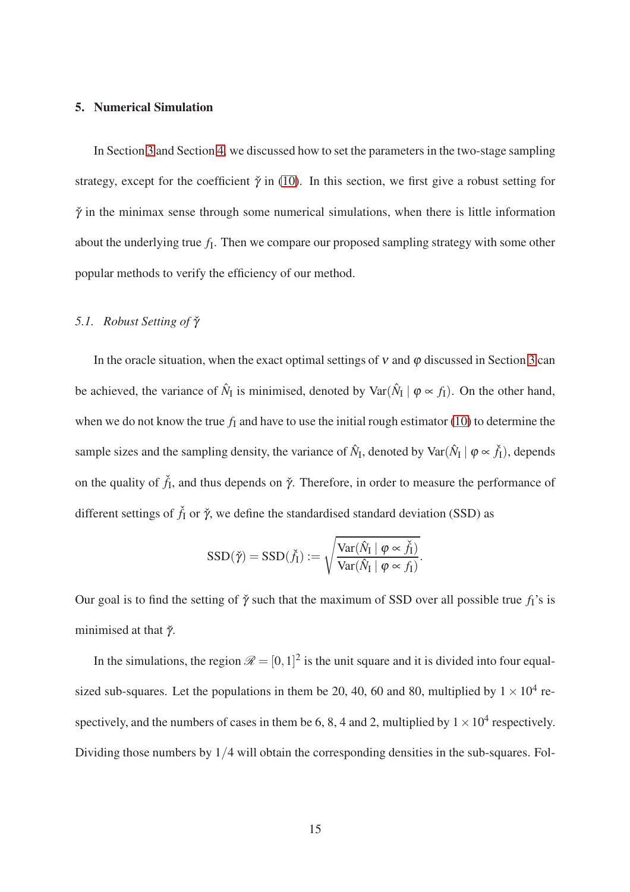## <span id="page-14-0"></span>5. Numerical Simulation

In Section [3](#page-7-0) and Section [4,](#page-10-0) we discussed how to set the parameters in the two-stage sampling strategy, except for the coefficient  $\check{\gamma}$  in [\(10\)](#page-8-1). In this section, we first give a robust setting for  $\check{\gamma}$  in the minimax sense through some numerical simulations, when there is little information about the underlying true  $f_1$ . Then we compare our proposed sampling strategy with some other popular methods to verify the efficiency of our method.

# <span id="page-14-1"></span>*5.1. Robust Setting of*  $\check{\gamma}$

In the oracle situation, when the exact optimal settings of  $v$  and  $\varphi$  discussed in Section [3](#page-7-0) can be achieved, the variance of  $\hat{N}_I$  is minimised, denoted by  $\text{Var}(\hat{N}_I | \varphi \propto f_I)$ . On the other hand, when we do not know the true  $f_I$  and have to use the initial rough estimator [\(10\)](#page-8-1) to determine the sample sizes and the sampling density, the variance of  $\hat{N}_I$ , denoted by Var $(\hat{N}_I \mid \varphi \propto \check{f}_I)$ , depends on the quality of  $\check{f}_I$ , and thus depends on  $\check{\gamma}$ . Therefore, in order to measure the performance of different settings of  $\check{f}_I$  or  $\check{\gamma}$ , we define the standardised standard deviation (SSD) as

$$
SSD(\check{\gamma}) = SSD(\check{f}_I) := \sqrt{\frac{Var(\hat{N}_I \mid \varphi \propto \check{f}_I)}{Var(\hat{N}_I \mid \varphi \propto f_I)}}.
$$

Our goal is to find the setting of  $\check{\gamma}$  such that the maximum of SSD over all possible true  $f_I$ 's is minimised at that  $\check{\gamma}$ .

In the simulations, the region  $\mathcal{R} = [0, 1]^2$  is the unit square and it is divided into four equalsized sub-squares. Let the populations in them be 20, 40, 60 and 80, multiplied by  $1 \times 10^4$  respectively, and the numbers of cases in them be 6, 8, 4 and 2, multiplied by  $1 \times 10^4$  respectively. Dividing those numbers by 1/4 will obtain the corresponding densities in the sub-squares. Fol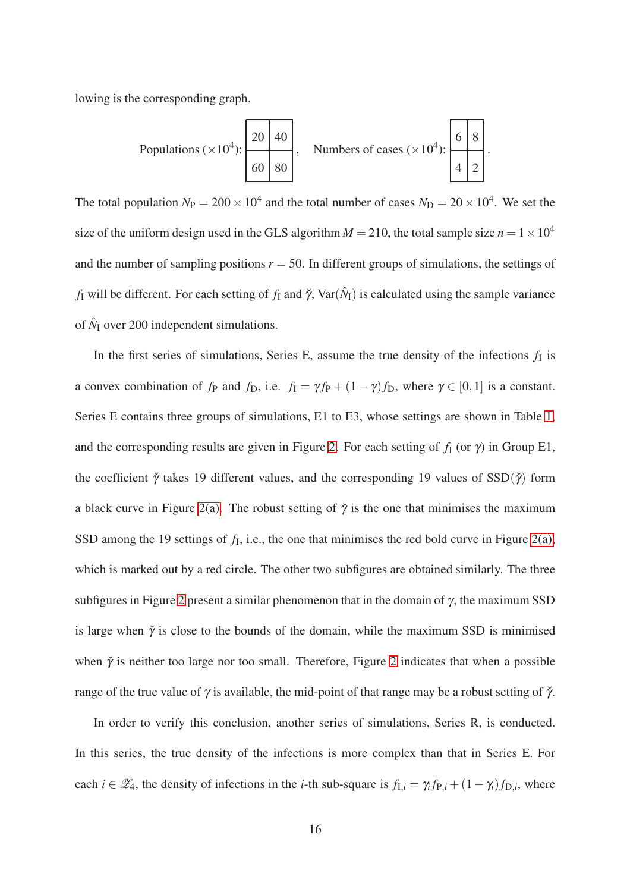lowing is the corresponding graph.

Populations 
$$
(\times 10^4)
$$
:  
\n
$$
\begin{array}{|c|c|c|c|c|}\n\hline\n20 & 40 \\
\hline\n60 & 80\n\end{array}
$$
\nNumbers of cases  $(\times 10^4)$ :  
\n
$$
\begin{array}{|c|c|c|c|}\n\hline\n6 & 8 \\
4 & 2\n\end{array}
$$

The total population  $N_P = 200 \times 10^4$  and the total number of cases  $N_D = 20 \times 10^4$ . We set the size of the uniform design used in the GLS algorithm  $M = 210$ , the total sample size  $n = 1 \times 10^4$ and the number of sampling positions  $r = 50$ . In different groups of simulations, the settings of *f*<sub>I</sub> will be different. For each setting of *f*<sub>I</sub> and  $\check{\gamma}$ , Var( $\hat{N}_{I}$ ) is calculated using the sample variance of  $\hat{N}_I$  over 200 independent simulations.

In the first series of simulations, Series E, assume the true density of the infections  $f_I$  is a convex combination of  $f_P$  and  $f_D$ , i.e.  $f_I = \gamma f_P + (1 - \gamma)f_D$ , where  $\gamma \in [0, 1]$  is a constant. Series E contains three groups of simulations, E1 to E3, whose settings are shown in Table [1,](#page-16-0) and the corresponding results are given in Figure [2.](#page-16-1) For each setting of  $f_1$  (or  $\gamma$ ) in Group E1, the coefficient  $\check{\gamma}$  takes 19 different values, and the corresponding 19 values of SSD( $\check{\gamma}$ ) form a black curve in Figure [2\(a\).](#page-16-2) The robust setting of  $\check{\gamma}$  is the one that minimises the maximum SSD among the 19 settings of  $f_I$ , i.e., the one that minimises the red bold curve in Figure [2\(a\),](#page-16-2) which is marked out by a red circle. The other two subfigures are obtained similarly. The three subfigures in Figure [2](#page-16-1) present a similar phenomenon that in the domain of  $\gamma$ , the maximum SSD is large when  $\check{\gamma}$  is close to the bounds of the domain, while the maximum SSD is minimised when  $\check{\gamma}$  is neither too large nor too small. Therefore, Figure [2](#page-16-1) indicates that when a possible range of the true value of  $\gamma$  is available, the mid-point of that range may be a robust setting of  $\gamma$ .

In order to verify this conclusion, another series of simulations, Series R, is conducted. In this series, the true density of the infections is more complex than that in Series E. For each  $i \in \mathcal{Z}_4$ , the density of infections in the *i*-th sub-square is  $f_{1,i} = \gamma_i f_{P,i} + (1 - \gamma_i) f_{D,i}$ , where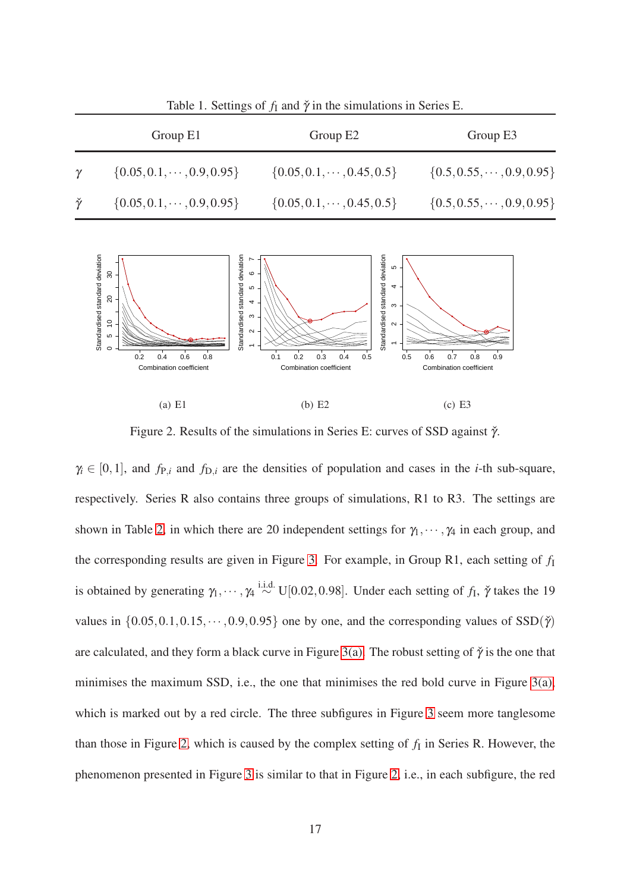|                  | Group E1                                                             | Group E2                                                                                                                                                     | Group E3                           |  |
|------------------|----------------------------------------------------------------------|--------------------------------------------------------------------------------------------------------------------------------------------------------------|------------------------------------|--|
| $\gamma$         | $\{0.05, 0.1, \cdots, 0.9, 0.95\}$                                   | $\{0.05, 0.1, \cdots, 0.45, 0.5\}$                                                                                                                           | $\{0.5, 0.55, \cdots, 0.9, 0.95\}$ |  |
| $\check{\gamma}$ | $\{0.05, 0.1, \cdots, 0.9, 0.95\}$                                   | $\{0.05, 0.1, \cdots, 0.45, 0.5\}$                                                                                                                           | $\{0.5, 0.55, \cdots, 0.9, 0.95\}$ |  |
|                  | Standardised standard deviation<br>$30\,$<br>20<br>5<br>5<br>$\circ$ | Standardised standard deviation<br>Standardised standard deviation<br>$\omega$ .<br>G<br>$\overline{a}$<br>5<br>4<br>ო<br>$\mathfrak{S}$<br>$\sim$<br>$\sim$ |                                    |  |

<span id="page-16-0"></span>Table 1. Settings of  $f_I$  and  $\check{\gamma}$  in the simulations in Series E.

<span id="page-16-1"></span>(a) E1 (b) E2 (c) E3

<span id="page-16-2"></span>0.1 0.2 0.3 0.4 0.5

0.5 0.6 0.7 0.8 0.9

Combination coefficient

Combination coefficient

0.2 0.4 0.6 0.8

Combination coefficient

Figure 2. Results of the simulations in Series E: curves of SSD against  $\check{\gamma}$ .

 $\gamma_i \in [0,1]$ , and  $f_{\text{P},i}$  and  $f_{\text{D},i}$  are the densities of population and cases in the *i*-th sub-square, respectively. Series R also contains three groups of simulations, R1 to R3. The settings are shown in Table [2,](#page-17-0) in which there are 20 independent settings for  $\gamma_1, \dots, \gamma_4$  in each group, and the corresponding results are given in Figure [3.](#page-17-1) For example, in Group R1, each setting of  $f_I$ is obtained by generating  $\gamma_1, \cdots, \gamma_4 \stackrel{\text{i.i.d.}}{\sim} \text{U}[0.02, 0.98]$ . Under each setting of  $f_I$ ,  $\check{\gamma}$  takes the 19 values in  $\{0.05, 0.1, 0.15, \dots, 0.9, 0.95\}$  one by one, and the corresponding values of SSD( $\check{\gamma}$ ) are calculated, and they form a black curve in Figure [3\(a\).](#page-17-2) The robust setting of  $\check{\gamma}$  is the one that minimises the maximum SSD, i.e., the one that minimises the red bold curve in Figure [3\(a\),](#page-17-2) which is marked out by a red circle. The three subfigures in Figure [3](#page-17-1) seem more tanglesome than those in Figure [2,](#page-16-1) which is caused by the complex setting of  $f_I$  in Series R. However, the phenomenon presented in Figure [3](#page-17-1) is similar to that in Figure [2,](#page-16-1) i.e., in each subfigure, the red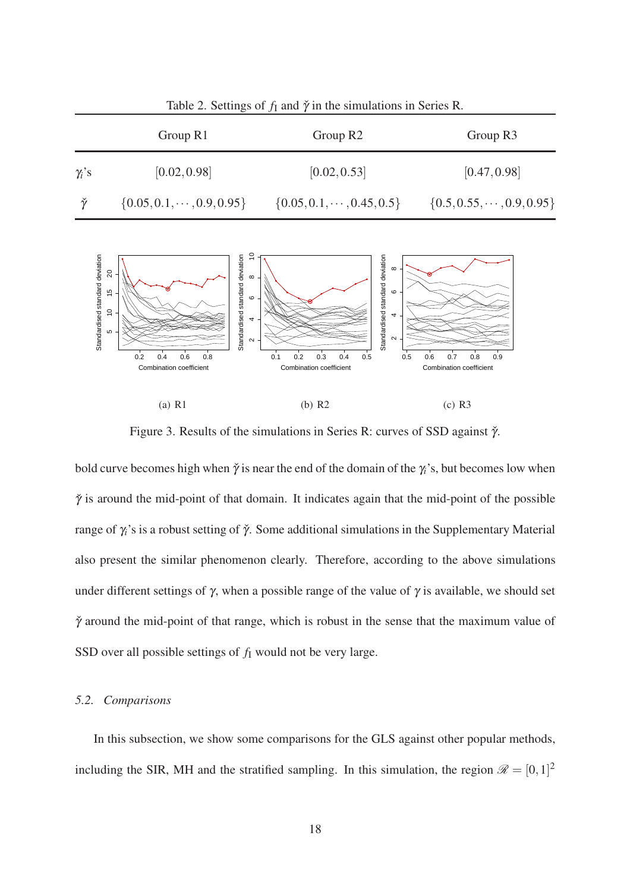

<span id="page-17-0"></span>Table 2. Settings of  $f_I$  and  $\check{\gamma}$  in the simulations in Series R.

<span id="page-17-1"></span>(a) R1 (b) R2 (c) R3

<span id="page-17-2"></span>0.1 0.2 0.3 0.4 0.5

0.5 0.6 0.7 0.8 0.9

Combination coefficient

Combination coefficient

Figure 3. Results of the simulations in Series R: curves of SSD against  $\check{\gamma}$ .

bold curve becomes high when  $\check{\gamma}$  is near the end of the domain of the  $\gamma_i$ 's, but becomes low when  $\check{\gamma}$  is around the mid-point of that domain. It indicates again that the mid-point of the possible range of <sup>γ</sup>*i*'s is a robust setting of <sup>γ</sup>ˇ. Some additional simulations in the Supplementary Material also present the similar phenomenon clearly. Therefore, according to the above simulations under different settings of  $\gamma$ , when a possible range of the value of  $\gamma$  is available, we should set  $\check{\gamma}$  around the mid-point of that range, which is robust in the sense that the maximum value of SSD over all possible settings of  $f_I$  would not be very large.

# *5.2. Comparisons*

0.2 0.4 0.6 0.8

Combination coefficient

In this subsection, we show some comparisons for the GLS against other popular methods, including the SIR, MH and the stratified sampling. In this simulation, the region  $\mathscr{R} = [0,1]^2$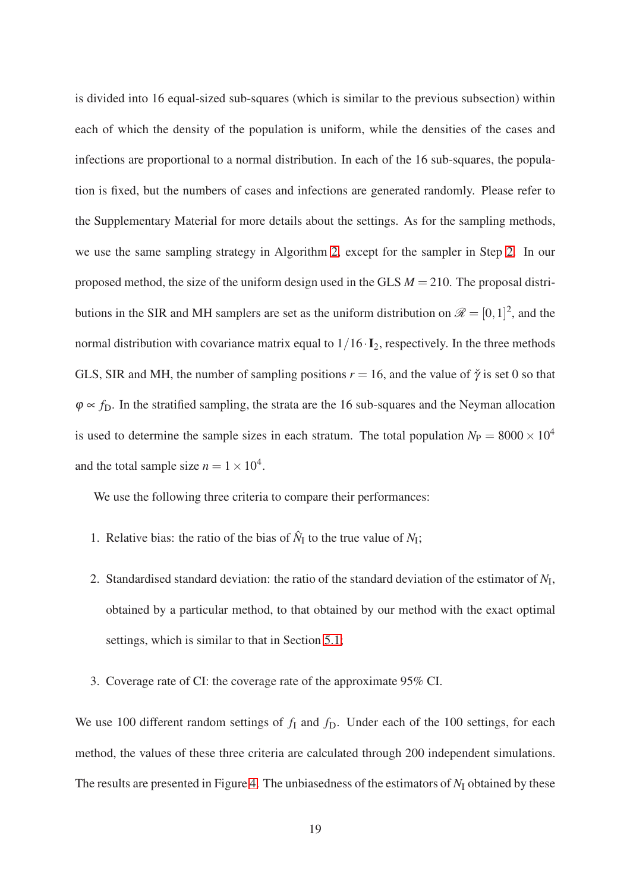is divided into 16 equal-sized sub-squares (which is similar to the previous subsection) within each of which the density of the population is uniform, while the densities of the cases and infections are proportional to a normal distribution. In each of the 16 sub-squares, the population is fixed, but the numbers of cases and infections are generated randomly. Please refer to the Supplementary Material for more details about the settings. As for the sampling methods, we use the same sampling strategy in Algorithm [2,](#page-10-1) except for the sampler in Step [2.](#page-10-3) In our proposed method, the size of the uniform design used in the GLS *M* = 210. The proposal distributions in the SIR and MH samplers are set as the uniform distribution on  $\mathscr{R} = [0,1]^2$ , and the normal distribution with covariance matrix equal to  $1/16 \cdot I_2$ , respectively. In the three methods GLS, SIR and MH, the number of sampling positions  $r = 16$ , and the value of  $\check{\gamma}$  is set 0 so that  $\varphi \propto f_D$ . In the stratified sampling, the strata are the 16 sub-squares and the Neyman allocation is used to determine the sample sizes in each stratum. The total population  $N_P = 8000 \times 10^4$ and the total sample size  $n = 1 \times 10^4$ .

We use the following three criteria to compare their performances:

- 1. Relative bias: the ratio of the bias of  $\hat{N}_I$  to the true value of  $N_I$ ;
- 2. Standardised standard deviation: the ratio of the standard deviation of the estimator of  $N_I$ , obtained by a particular method, to that obtained by our method with the exact optimal settings, which is similar to that in Section [5.1;](#page-14-1)
- 3. Coverage rate of CI: the coverage rate of the approximate 95% CI.

We use 100 different random settings of  $f_I$  and  $f_D$ . Under each of the 100 settings, for each method, the values of these three criteria are calculated through 200 independent simulations. The results are presented in Figure [4.](#page-19-1) The unbiasedness of the estimators of  $N<sub>I</sub>$  obtained by these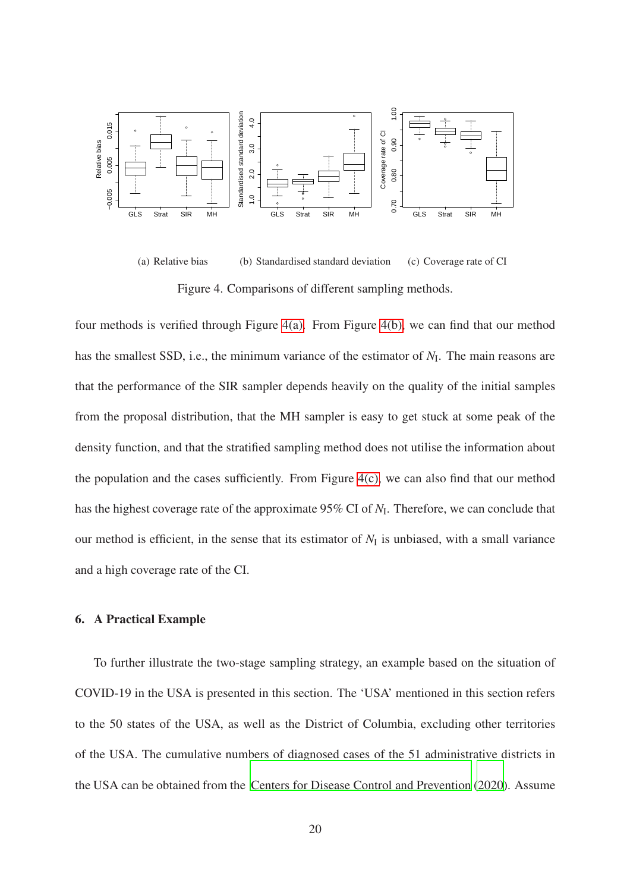

<span id="page-19-4"></span><span id="page-19-3"></span><span id="page-19-2"></span><span id="page-19-1"></span>(a) Relative bias (b) Standardised standard deviation (c) Coverage rate of CI Figure 4. Comparisons of different sampling methods.

four methods is verified through Figure [4\(a\).](#page-19-2) From Figure [4\(b\),](#page-19-3) we can find that our method has the smallest SSD, i.e., the minimum variance of the estimator of  $N_I$ . The main reasons are that the performance of the SIR sampler depends heavily on the quality of the initial samples from the proposal distribution, that the MH sampler is easy to get stuck at some peak of the density function, and that the stratified sampling method does not utilise the information about the population and the cases sufficiently. From Figure  $4(c)$ , we can also find that our method has the highest coverage rate of the approximate 95% CI of  $N_I$ . Therefore, we can conclude that our method is efficient, in the sense that its estimator of  $N<sub>I</sub>$  is unbiased, with a small variance and a high coverage rate of the CI.

# <span id="page-19-0"></span>6. A Practical Example

To further illustrate the two-stage sampling strategy, an example based on the situation of COVID-19 in the USA is presented in this section. The 'USA' mentioned in this section refers to the 50 states of the USA, as well as the District of Columbia, excluding other territories of the USA. The cumulative numbers of diagnosed cases of the 51 administrative districts in the USA can be obtained from the [Centers for Disease Control and Prevention \(2020](#page-24-0)). Assume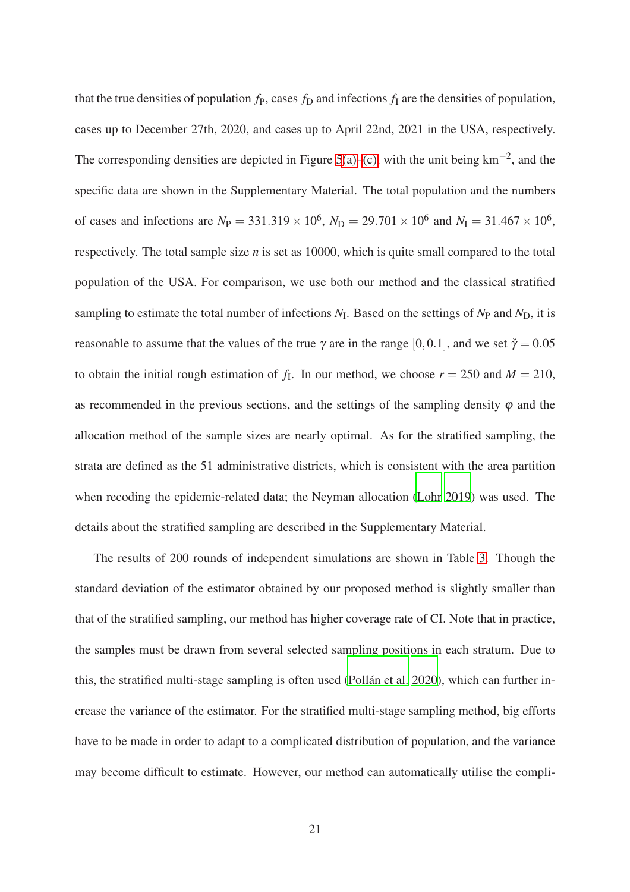that the true densities of population  $f<sub>P</sub>$ , cases  $f<sub>D</sub>$  and infections  $f<sub>I</sub>$  are the densities of population, cases up to December 27th, 2020, and cases up to April 22nd, 2021 in the USA, respectively. The corresponding densities are depicted in Figure [5](#page-21-0)[\(a\)–](#page-21-1)[\(c\),](#page-21-2) with the unit being  $km^{-2}$ , and the specific data are shown in the Supplementary Material. The total population and the numbers of cases and infections are  $N_P = 331.319 \times 10^6$ ,  $N_D = 29.701 \times 10^6$  and  $N_I = 31.467 \times 10^6$ , respectively. The total sample size *n* is set as 10000, which is quite small compared to the total population of the USA. For comparison, we use both our method and the classical stratified sampling to estimate the total number of infections *N*<sup>I</sup> . Based on the settings of *N*<sup>P</sup> and *N*D, it is reasonable to assume that the values of the true  $\gamma$  are in the range [0,0.1], and we set  $\tilde{\gamma} = 0.05$ to obtain the initial rough estimation of  $f<sub>I</sub>$ . In our method, we choose  $r = 250$  and  $M = 210$ , as recommended in the previous sections, and the settings of the sampling density  $\varphi$  and the allocation method of the sample sizes are nearly optimal. As for the stratified sampling, the strata are defined as the 51 administrative districts, which is consistent with the area partition when recoding the epidemic-related data; the Neyman allocation [\(Lohr 2019\)](#page-25-6) was used. The details about the stratified sampling are described in the Supplementary Material.

The results of 200 rounds of independent simulations are shown in Table [3.](#page-22-1) Though the standard deviation of the estimator obtained by our proposed method is slightly smaller than that of the stratified sampling, our method has higher coverage rate of CI. Note that in practice, the samples must be drawn from several selected sampling positions in each stratum. Due to this, the stratified multi-stage sampling is often used [\(Pollán et al. 2020](#page-26-1)), which can further increase the variance of the estimator. For the stratified multi-stage sampling method, big efforts have to be made in order to adapt to a complicated distribution of population, and the variance may become difficult to estimate. However, our method can automatically utilise the compli-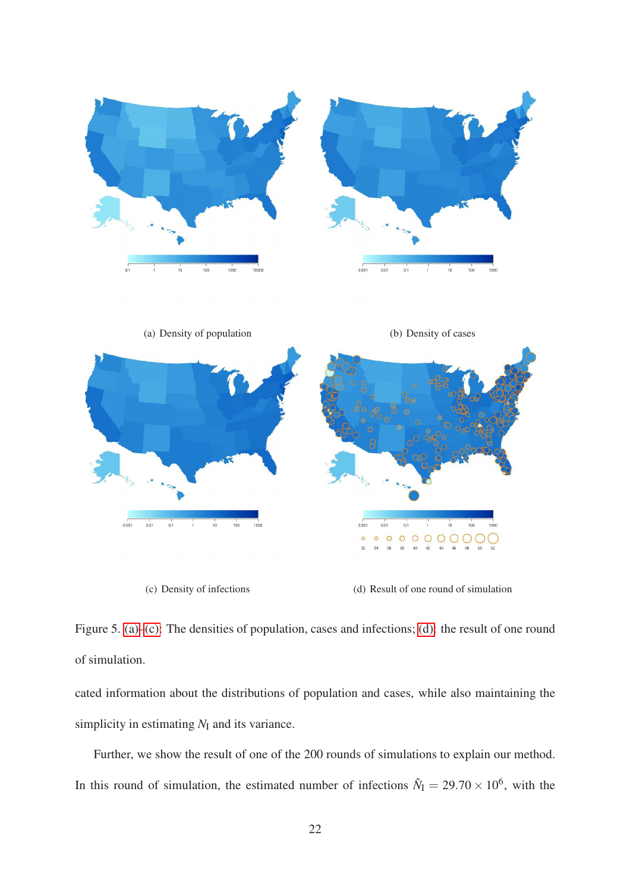

<span id="page-21-1"></span>

(c) Density of infections (d) Result of one round of simulation

<span id="page-21-3"></span><span id="page-21-2"></span>

<span id="page-21-0"></span>Figure 5. [\(a\)–](#page-21-1)[\(c\):](#page-21-2) The densities of population, cases and infections; [\(d\):](#page-21-3) the result of one round of simulation.

cated information about the distributions of population and cases, while also maintaining the simplicity in estimating  $N_I$  and its variance.

Further, we show the result of one of the 200 rounds of simulations to explain our method. In this round of simulation, the estimated number of infections  $\hat{N}_{I} = 29.70 \times 10^{6}$ , with the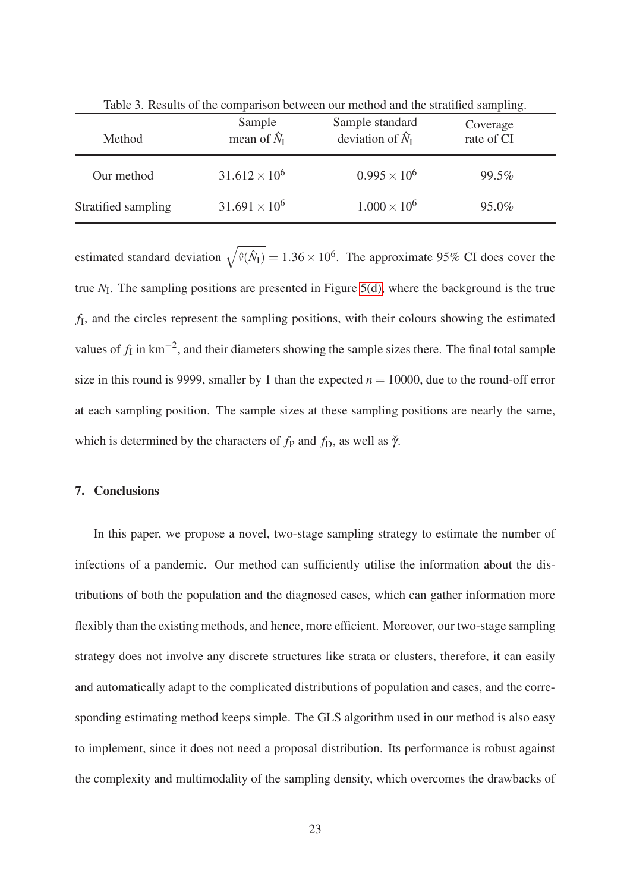| Method              | Sample<br>mean of $\hat{N}_{I}$ | Sample standard<br>deviation of $\hat{N}_{I}$ | Coverage<br>rate of CI |
|---------------------|---------------------------------|-----------------------------------------------|------------------------|
| Our method          | $31.612 \times 10^6$            | $0.995 \times 10^6$                           | 99.5%                  |
| Stratified sampling | $31.691 \times 10^6$            | $1.000 \times 10^{6}$                         | 95.0%                  |

<span id="page-22-1"></span>Table 3. Results of the comparison between our method and the stratified sampling.

estimated standard deviation  $\sqrt{\hat{v}(\hat{N}_I)} = 1.36 \times 10^6$ . The approximate 95% CI does cover the true  $N_I$ . The sampling positions are presented in Figure [5\(d\),](#page-21-3) where the background is the true *f*I , and the circles represent the sampling positions, with their colours showing the estimated values of  $f_I$  in  $km^{-2}$ , and their diameters showing the sample sizes there. The final total sample size in this round is 9999, smaller by 1 than the expected  $n = 10000$ , due to the round-off error at each sampling position. The sample sizes at these sampling positions are nearly the same, which is determined by the characters of  $f_P$  and  $f_D$ , as well as  $\check{\gamma}$ .

#### <span id="page-22-0"></span>7. Conclusions

In this paper, we propose a novel, two-stage sampling strategy to estimate the number of infections of a pandemic. Our method can sufficiently utilise the information about the distributions of both the population and the diagnosed cases, which can gather information more flexibly than the existing methods, and hence, more efficient. Moreover, our two-stage sampling strategy does not involve any discrete structures like strata or clusters, therefore, it can easily and automatically adapt to the complicated distributions of population and cases, and the corresponding estimating method keeps simple. The GLS algorithm used in our method is also easy to implement, since it does not need a proposal distribution. Its performance is robust against the complexity and multimodality of the sampling density, which overcomes the drawbacks of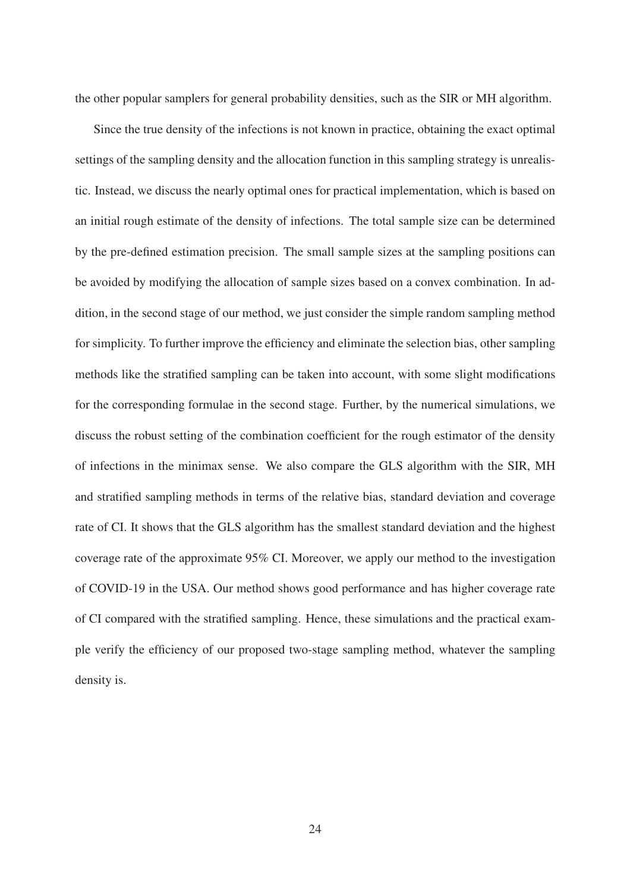the other popular samplers for general probability densities, such as the SIR or MH algorithm.

Since the true density of the infections is not known in practice, obtaining the exact optimal settings of the sampling density and the allocation function in this sampling strategy is unrealistic. Instead, we discuss the nearly optimal ones for practical implementation, which is based on an initial rough estimate of the density of infections. The total sample size can be determined by the pre-defined estimation precision. The small sample sizes at the sampling positions can be avoided by modifying the allocation of sample sizes based on a convex combination. In addition, in the second stage of our method, we just consider the simple random sampling method for simplicity. To further improve the efficiency and eliminate the selection bias, other sampling methods like the stratified sampling can be taken into account, with some slight modifications for the corresponding formulae in the second stage. Further, by the numerical simulations, we discuss the robust setting of the combination coefficient for the rough estimator of the density of infections in the minimax sense. We also compare the GLS algorithm with the SIR, MH and stratified sampling methods in terms of the relative bias, standard deviation and coverage rate of CI. It shows that the GLS algorithm has the smallest standard deviation and the highest coverage rate of the approximate 95% CI. Moreover, we apply our method to the investigation of COVID-19 in the USA. Our method shows good performance and has higher coverage rate of CI compared with the stratified sampling. Hence, these simulations and the practical example verify the efficiency of our proposed two-stage sampling method, whatever the sampling density is.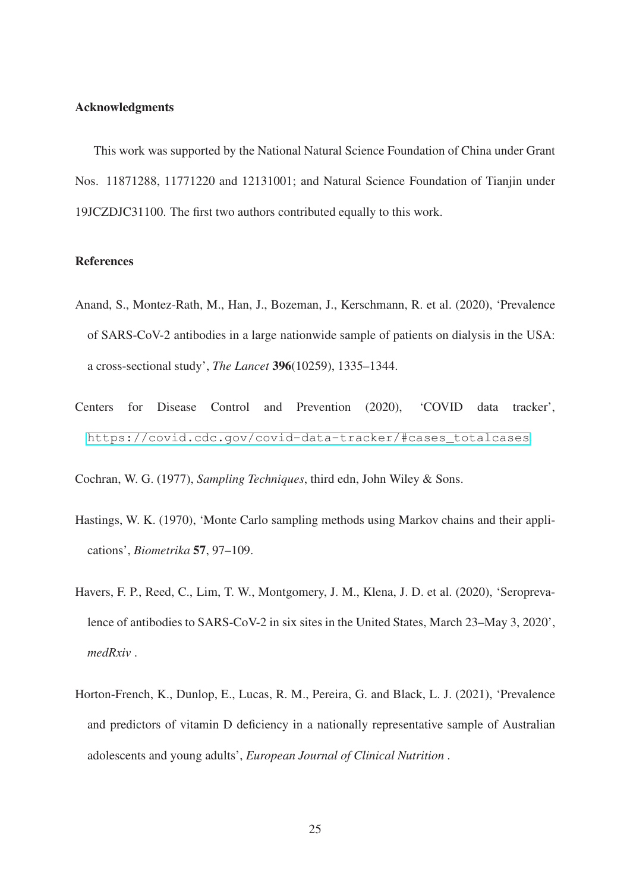## Acknowledgments

This work was supported by the National Natural Science Foundation of China under Grant Nos. 11871288, 11771220 and 12131001; and Natural Science Foundation of Tianjin under 19JCZDJC31100. The first two authors contributed equally to this work.

# References

- <span id="page-24-1"></span>Anand, S., Montez-Rath, M., Han, J., Bozeman, J., Kerschmann, R. et al. (2020), 'Prevalence of SARS-CoV-2 antibodies in a large nationwide sample of patients on dialysis in the USA: a cross-sectional study', *The Lancet* 396(10259), 1335–1344.
- <span id="page-24-0"></span>Centers for Disease Control and Prevention (2020), 'COVID data tracker', [https://covid.cdc.gov/covid-data-tracker/#cases\\_totalcases](https://covid.cdc.gov/covid-data-tracker/#cases_totalcases).

<span id="page-24-5"></span>Cochran, W. G. (1977), *Sampling Techniques*, third edn, John Wiley & Sons.

- <span id="page-24-4"></span>Hastings, W. K. (1970), 'Monte Carlo sampling methods using Markov chains and their applications', *Biometrika* 57, 97–109.
- <span id="page-24-2"></span>Havers, F. P., Reed, C., Lim, T. W., Montgomery, J. M., Klena, J. D. et al. (2020), 'Seroprevalence of antibodies to SARS-CoV-2 in six sites in the United States, March 23–May 3, 2020', *medRxiv* .
- <span id="page-24-3"></span>Horton-French, K., Dunlop, E., Lucas, R. M., Pereira, G. and Black, L. J. (2021), 'Prevalence and predictors of vitamin D deficiency in a nationally representative sample of Australian adolescents and young adults', *European Journal of Clinical Nutrition* .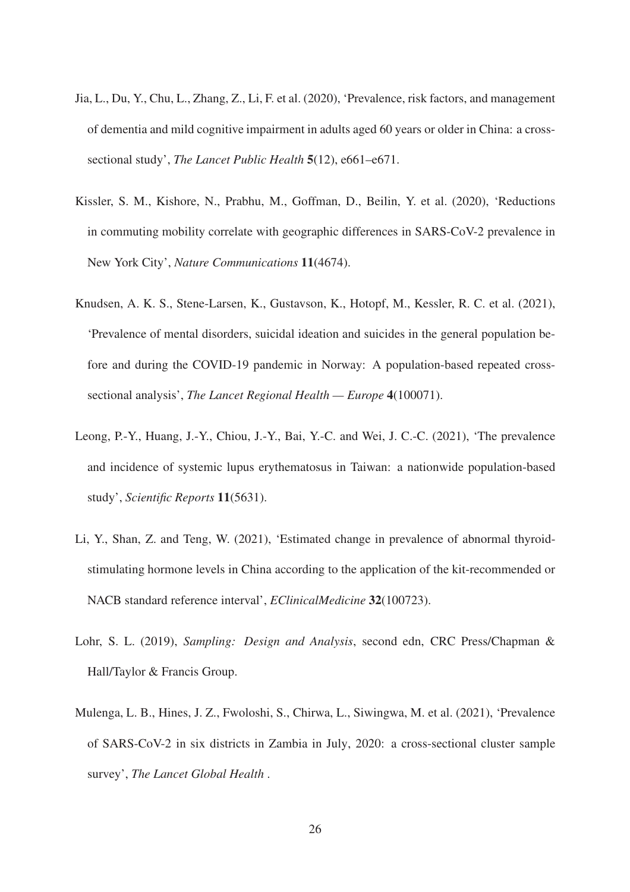- <span id="page-25-3"></span>Jia, L., Du, Y., Chu, L., Zhang, Z., Li, F. et al. (2020), 'Prevalence, risk factors, and management of dementia and mild cognitive impairment in adults aged 60 years or older in China: a crosssectional study', *The Lancet Public Health* 5(12), e661–e671.
- <span id="page-25-0"></span>Kissler, S. M., Kishore, N., Prabhu, M., Goffman, D., Beilin, Y. et al. (2020), 'Reductions in commuting mobility correlate with geographic differences in SARS-CoV-2 prevalence in New York City', *Nature Communications* 11(4674).
- <span id="page-25-2"></span>Knudsen, A. K. S., Stene-Larsen, K., Gustavson, K., Hotopf, M., Kessler, R. C. et al. (2021), 'Prevalence of mental disorders, suicidal ideation and suicides in the general population before and during the COVID-19 pandemic in Norway: A population-based repeated crosssectional analysis', *The Lancet Regional Health — Europe* 4(100071).
- <span id="page-25-1"></span>Leong, P.-Y., Huang, J.-Y., Chiou, J.-Y., Bai, Y.-C. and Wei, J. C.-C. (2021), 'The prevalence and incidence of systemic lupus erythematosus in Taiwan: a nationwide population-based study', *Scientific Reports* 11(5631).
- <span id="page-25-5"></span>Li, Y., Shan, Z. and Teng, W. (2021), 'Estimated change in prevalence of abnormal thyroidstimulating hormone levels in China according to the application of the kit-recommended or NACB standard reference interval', *EClinicalMedicine* 32(100723).
- <span id="page-25-6"></span>Lohr, S. L. (2019), *Sampling: Design and Analysis*, second edn, CRC Press/Chapman & Hall/Taylor & Francis Group.
- <span id="page-25-4"></span>Mulenga, L. B., Hines, J. Z., Fwoloshi, S., Chirwa, L., Siwingwa, M. et al. (2021), 'Prevalence of SARS-CoV-2 in six districts in Zambia in July, 2020: a cross-sectional cluster sample survey', *The Lancet Global Health* .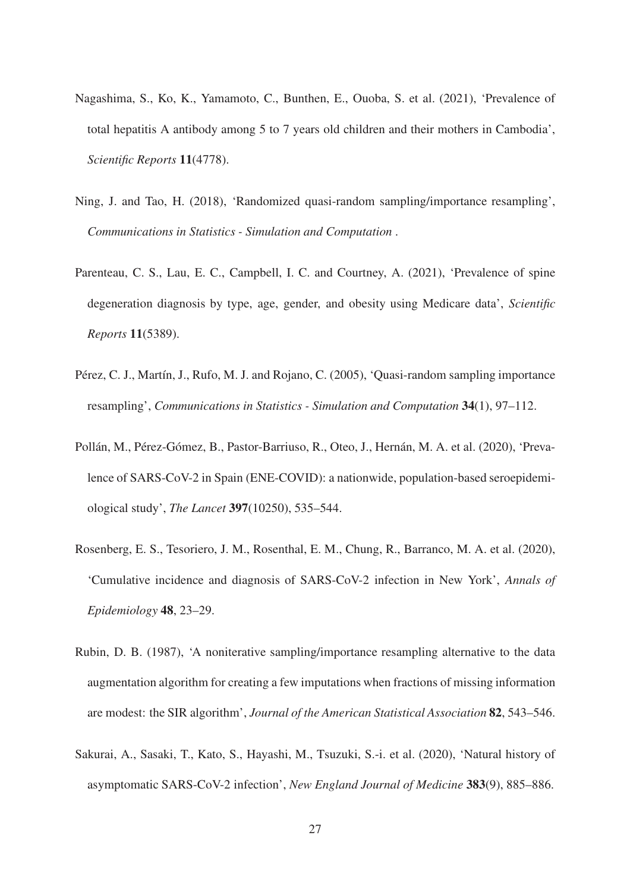- <span id="page-26-4"></span>Nagashima, S., Ko, K., Yamamoto, C., Bunthen, E., Ouoba, S. et al. (2021), 'Prevalence of total hepatitis A antibody among 5 to 7 years old children and their mothers in Cambodia', *Scientific Reports* 11(4778).
- <span id="page-26-7"></span>Ning, J. and Tao, H. (2018), 'Randomized quasi-random sampling/importance resampling', *Communications in Statistics - Simulation and Computation* .
- <span id="page-26-3"></span>Parenteau, C. S., Lau, E. C., Campbell, I. C. and Courtney, A. (2021), 'Prevalence of spine degeneration diagnosis by type, age, gender, and obesity using Medicare data', *Scientific Reports* 11(5389).
- <span id="page-26-6"></span>Pérez, C. J., Martín, J., Rufo, M. J. and Rojano, C. (2005), 'Quasi-random sampling importance resampling', *Communications in Statistics - Simulation and Computation* 34(1), 97–112.
- <span id="page-26-1"></span>Pollán, M., Pérez-Gómez, B., Pastor-Barriuso, R., Oteo, J., Hernán, M. A. et al. (2020), 'Prevalence of SARS-CoV-2 in Spain (ENE-COVID): a nationwide, population-based seroepidemiological study', *The Lancet* 397(10250), 535–544.
- <span id="page-26-2"></span>Rosenberg, E. S., Tesoriero, J. M., Rosenthal, E. M., Chung, R., Barranco, M. A. et al. (2020), 'Cumulative incidence and diagnosis of SARS-CoV-2 infection in New York', *Annals of Epidemiology* 48, 23–29.
- <span id="page-26-5"></span>Rubin, D. B. (1987), 'A noniterative sampling/importance resampling alternative to the data augmentation algorithm for creating a few imputations when fractions of missing information are modest: the SIR algorithm', *Journal of the American Statistical Association* 82, 543–546.
- <span id="page-26-0"></span>Sakurai, A., Sasaki, T., Kato, S., Hayashi, M., Tsuzuki, S.-i. et al. (2020), 'Natural history of asymptomatic SARS-CoV-2 infection', *New England Journal of Medicine* 383(9), 885–886.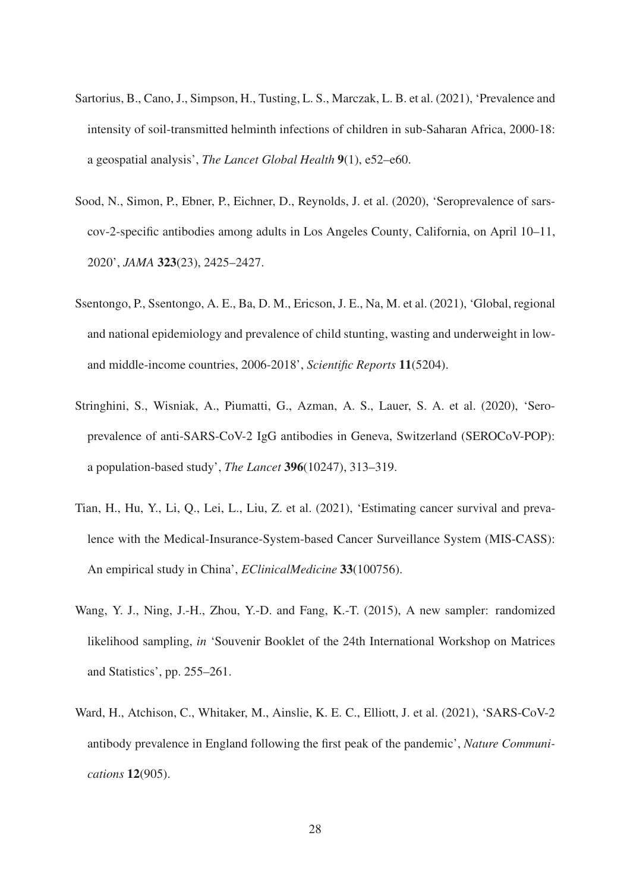- <span id="page-27-4"></span>Sartorius, B., Cano, J., Simpson, H., Tusting, L. S., Marczak, L. B. et al. (2021), 'Prevalence and intensity of soil-transmitted helminth infections of children in sub-Saharan Africa, 2000-18: a geospatial analysis', *The Lancet Global Health* 9(1), e52–e60.
- <span id="page-27-1"></span>Sood, N., Simon, P., Ebner, P., Eichner, D., Reynolds, J. et al. (2020), 'Seroprevalence of sarscov-2-specific antibodies among adults in Los Angeles County, California, on April 10–11, 2020', *JAMA* 323(23), 2425–2427.
- <span id="page-27-5"></span>Ssentongo, P., Ssentongo, A. E., Ba, D. M., Ericson, J. E., Na, M. et al. (2021), 'Global, regional and national epidemiology and prevalence of child stunting, wasting and underweight in lowand middle-income countries, 2006-2018', *Scientific Reports* 11(5204).
- <span id="page-27-0"></span>Stringhini, S., Wisniak, A., Piumatti, G., Azman, A. S., Lauer, S. A. et al. (2020), 'Seroprevalence of anti-SARS-CoV-2 IgG antibodies in Geneva, Switzerland (SEROCoV-POP): a population-based study', *The Lancet* 396(10247), 313–319.
- <span id="page-27-3"></span>Tian, H., Hu, Y., Li, Q., Lei, L., Liu, Z. et al. (2021), 'Estimating cancer survival and prevalence with the Medical-Insurance-System-based Cancer Surveillance System (MIS-CASS): An empirical study in China', *EClinicalMedicine* 33(100756).
- <span id="page-27-6"></span>Wang, Y. J., Ning, J.-H., Zhou, Y.-D. and Fang, K.-T. (2015), A new sampler: randomized likelihood sampling, *in* 'Souvenir Booklet of the 24th International Workshop on Matrices and Statistics', pp. 255–261.
- <span id="page-27-2"></span>Ward, H., Atchison, C., Whitaker, M., Ainslie, K. E. C., Elliott, J. et al. (2021), 'SARS-CoV-2 antibody prevalence in England following the first peak of the pandemic', *Nature Communications* 12(905).